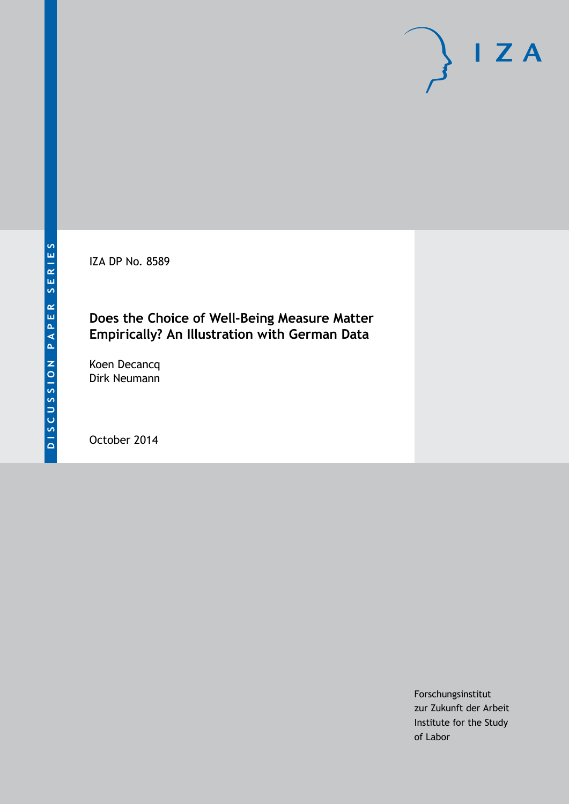IZA DP No. 8589

## **Does the Choice of Well-Being Measure Matter Empirically? An Illustration with German Data**

Koen Decancq Dirk Neumann

October 2014

Forschungsinstitut zur Zukunft der Arbeit Institute for the Study of Labor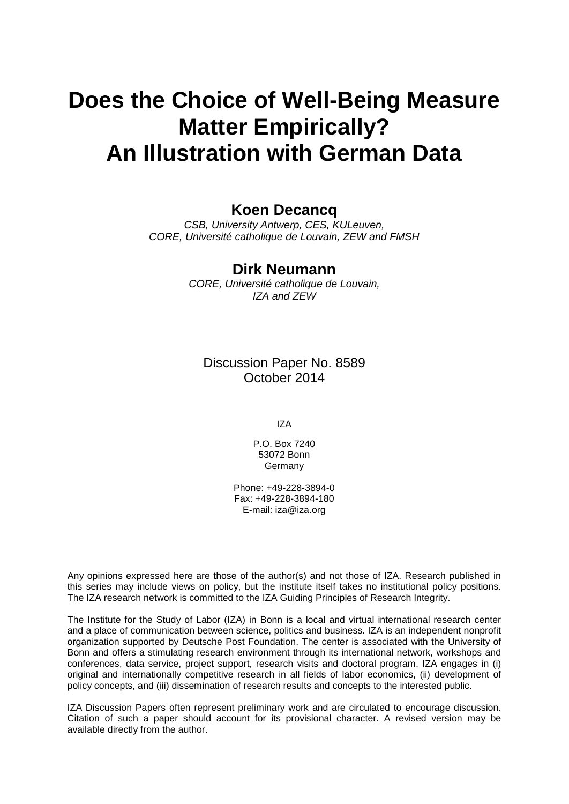# **Does the Choice of Well-Being Measure Matter Empirically? An Illustration with German Data**

## **Koen Decancq**

*CSB, University Antwerp, CES, KULeuven, CORE, Université catholique de Louvain, ZEW and FMSH*

### **Dirk Neumann**

*CORE, Université catholique de Louvain, IZA and ZEW*

Discussion Paper No. 8589 October 2014

IZA

P.O. Box 7240 53072 Bonn Germany

Phone: +49-228-3894-0 Fax: +49-228-3894-180 E-mail: [iza@iza.org](mailto:iza@iza.org)

Any opinions expressed here are those of the author(s) and not those of IZA. Research published in this series may include views on policy, but the institute itself takes no institutional policy positions. The IZA research network is committed to the IZA Guiding Principles of Research Integrity.

The Institute for the Study of Labor (IZA) in Bonn is a local and virtual international research center and a place of communication between science, politics and business. IZA is an independent nonprofit organization supported by Deutsche Post Foundation. The center is associated with the University of Bonn and offers a stimulating research environment through its international network, workshops and conferences, data service, project support, research visits and doctoral program. IZA engages in (i) original and internationally competitive research in all fields of labor economics, (ii) development of policy concepts, and (iii) dissemination of research results and concepts to the interested public.

IZA Discussion Papers often represent preliminary work and are circulated to encourage discussion. Citation of such a paper should account for its provisional character. A revised version may be available directly from the author.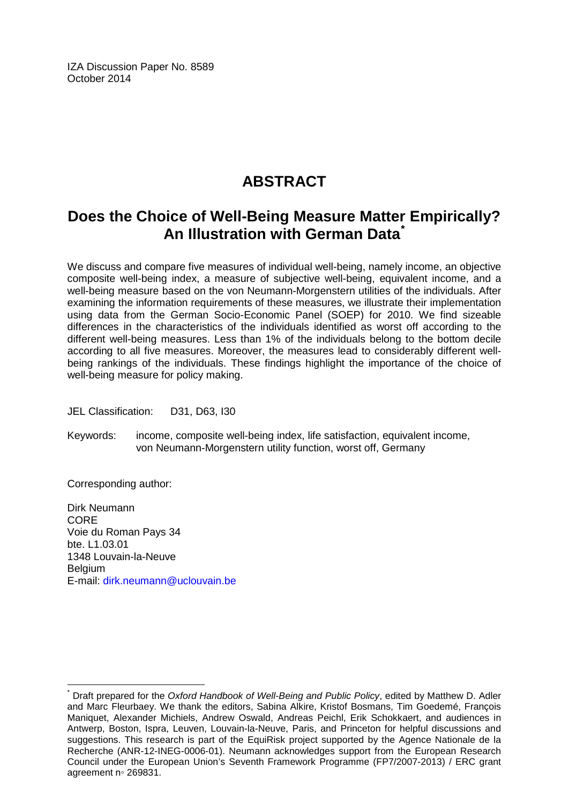IZA Discussion Paper No. 8589 October 2014

## **ABSTRACT**

## **Does the Choice of Well-Being Measure Matter Empirically? An Illustration with German Data[\\*](#page-2-0)**

We discuss and compare five measures of individual well-being, namely income, an objective composite well-being index, a measure of subjective well-being, equivalent income, and a well-being measure based on the von Neumann-Morgenstern utilities of the individuals. After examining the information requirements of these measures, we illustrate their implementation using data from the German Socio-Economic Panel (SOEP) for 2010. We find sizeable differences in the characteristics of the individuals identified as worst off according to the different well-being measures. Less than 1% of the individuals belong to the bottom decile according to all five measures. Moreover, the measures lead to considerably different wellbeing rankings of the individuals. These findings highlight the importance of the choice of well-being measure for policy making.

JEL Classification: D31, D63, I30

Keywords: income, composite well-being index, life satisfaction, equivalent income, von Neumann-Morgenstern utility function, worst off, Germany

Corresponding author:

Dirk Neumann CORE Voie du Roman Pays 34 bte. L1.03.01 1348 Louvain-la-Neuve **Belgium** E-mail: [dirk.neumann@uclouvain.be](mailto:dirk.neumann@uclouvain.be)

<span id="page-2-0"></span>Draft prepared for the *Oxford Handbook of Well-Being and Public Policy*, edited by Matthew D. Adler and Marc Fleurbaey. We thank the editors, Sabina Alkire, Kristof Bosmans, Tim Goedemé, François Maniquet, Alexander Michiels, Andrew Oswald, Andreas Peichl, Erik Schokkaert, and audiences in Antwerp, Boston, Ispra, Leuven, Louvain-la-Neuve, Paris, and Princeton for helpful discussions and suggestions. This research is part of the EquiRisk project supported by the Agence Nationale de la Recherche (ANR-12-INEG-0006-01). Neumann acknowledges support from the European Research Council under the European Union's Seventh Framework Programme (FP7/2007-2013) / ERC grant agreement n◦ 269831.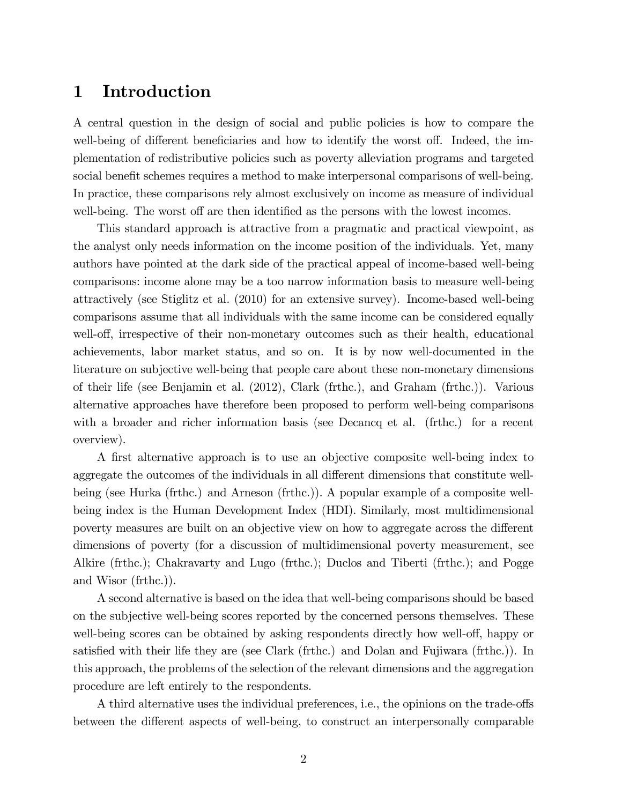## 1 Introduction

A central question in the design of social and public policies is how to compare the well-being of different beneficiaries and how to identify the worst off. Indeed, the implementation of redistributive policies such as poverty alleviation programs and targeted social benefit schemes requires a method to make interpersonal comparisons of well-being. In practice, these comparisons rely almost exclusively on income as measure of individual well-being. The worst off are then identified as the persons with the lowest incomes.

This standard approach is attractive from a pragmatic and practical viewpoint, as the analyst only needs information on the income position of the individuals. Yet, many authors have pointed at the dark side of the practical appeal of income-based well-being comparisons: income alone may be a too narrow information basis to measure well-being attractively (see Stiglitz et al. (2010) for an extensive survey). Income-based well-being comparisons assume that all individuals with the same income can be considered equally well-off, irrespective of their non-monetary outcomes such as their health, educational achievements, labor market status, and so on. It is by now well-documented in the literature on subjective well-being that people care about these non-monetary dimensions of their life (see Benjamin et al. (2012), Clark (frthc.), and Graham (frthc.)). Various alternative approaches have therefore been proposed to perform well-being comparisons with a broader and richer information basis (see Decancq et al. (frthc.) for a recent overview).

A first alternative approach is to use an objective composite well-being index to aggregate the outcomes of the individuals in all different dimensions that constitute wellbeing (see Hurka (frthc.) and Arneson (frthc.)). A popular example of a composite wellbeing index is the Human Development Index (HDI). Similarly, most multidimensional poverty measures are built on an objective view on how to aggregate across the different dimensions of poverty (for a discussion of multidimensional poverty measurement, see Alkire (frthc.); Chakravarty and Lugo (frthc.); Duclos and Tiberti (frthc.); and Pogge and Wisor (frthc.)).

A second alternative is based on the idea that well-being comparisons should be based on the subjective well-being scores reported by the concerned persons themselves. These well-being scores can be obtained by asking respondents directly how well-off, happy or satisfied with their life they are (see Clark (frthc.) and Dolan and Fujiwara (frthc.)). In this approach, the problems of the selection of the relevant dimensions and the aggregation procedure are left entirely to the respondents.

A third alternative uses the individual preferences, i.e., the opinions on the trade-offs between the different aspects of well-being, to construct an interpersonally comparable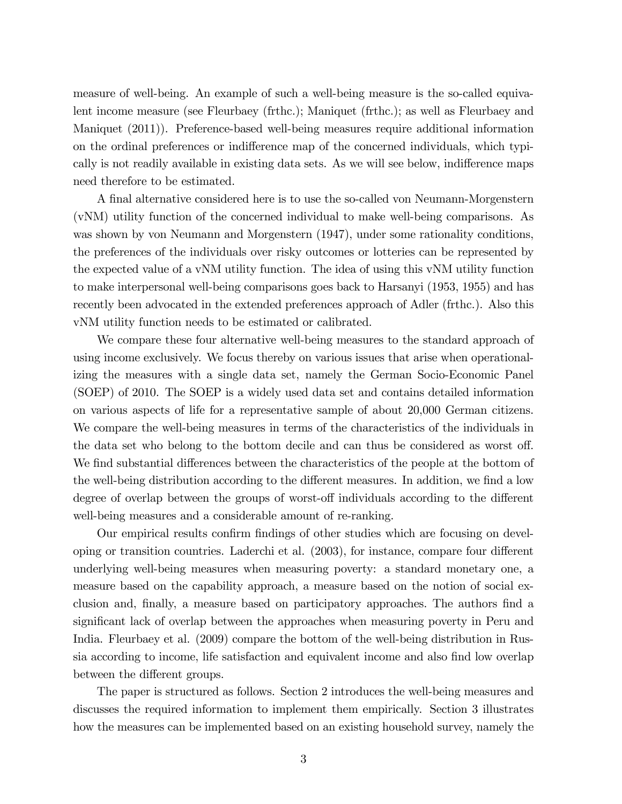measure of well-being. An example of such a well-being measure is the so-called equivalent income measure (see Fleurbaey (frthc.); Maniquet (frthc.); as well as Fleurbaey and Maniquet (2011)). Preference-based well-being measures require additional information on the ordinal preferences or indifference map of the concerned individuals, which typically is not readily available in existing data sets. As we will see below, indifference maps need therefore to be estimated.

A final alternative considered here is to use the so-called von Neumann-Morgenstern (vNM) utility function of the concerned individual to make well-being comparisons. As was shown by von Neumann and Morgenstern (1947), under some rationality conditions, the preferences of the individuals over risky outcomes or lotteries can be represented by the expected value of a vNM utility function. The idea of using this vNM utility function to make interpersonal well-being comparisons goes back to Harsanyi (1953, 1955) and has recently been advocated in the extended preferences approach of Adler (frthc.). Also this vNM utility function needs to be estimated or calibrated.

We compare these four alternative well-being measures to the standard approach of using income exclusively. We focus thereby on various issues that arise when operationalizing the measures with a single data set, namely the German Socio-Economic Panel (SOEP) of 2010. The SOEP is a widely used data set and contains detailed information on various aspects of life for a representative sample of about 20,000 German citizens. We compare the well-being measures in terms of the characteristics of the individuals in the data set who belong to the bottom decile and can thus be considered as worst off. We find substantial differences between the characteristics of the people at the bottom of the well-being distribution according to the different measures. In addition, we find a low degree of overlap between the groups of worst-off individuals according to the different well-being measures and a considerable amount of re-ranking.

Our empirical results confirm findings of other studies which are focusing on developing or transition countries. Laderchi et al.  $(2003)$ , for instance, compare four different underlying well-being measures when measuring poverty: a standard monetary one, a measure based on the capability approach, a measure based on the notion of social exclusion and, finally, a measure based on participatory approaches. The authors find a significant lack of overlap between the approaches when measuring poverty in Peru and India. Fleurbaey et al. (2009) compare the bottom of the well-being distribution in Russia according to income, life satisfaction and equivalent income and also find low overlap between the different groups.

The paper is structured as follows. Section 2 introduces the well-being measures and discusses the required information to implement them empirically. Section 3 illustrates how the measures can be implemented based on an existing household survey, namely the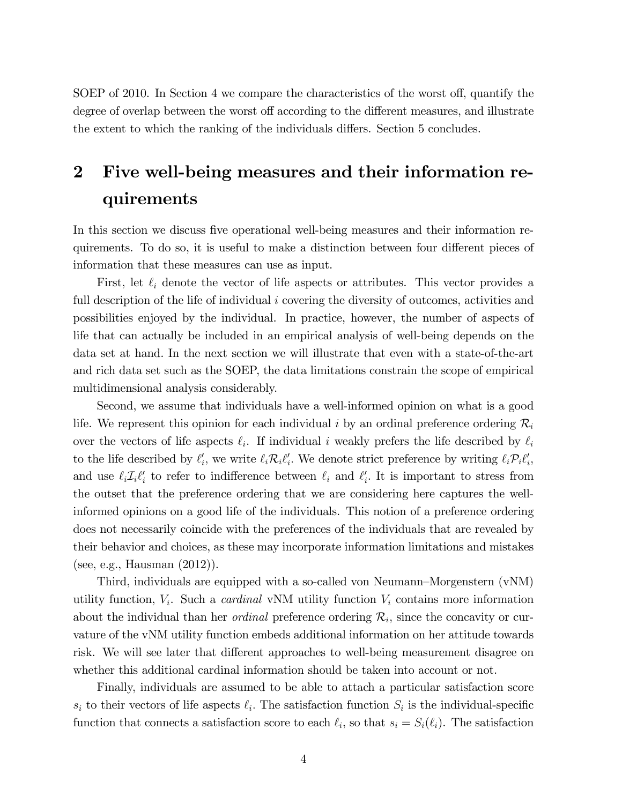SOEP of 2010. In Section 4 we compare the characteristics of the worst off, quantify the degree of overlap between the worst off according to the different measures, and illustrate the extent to which the ranking of the individuals differs. Section 5 concludes.

## 2 Five well-being measures and their information requirements

In this section we discuss five operational well-being measures and their information requirements. To do so, it is useful to make a distinction between four different pieces of information that these measures can use as input.

First, let  $\ell_i$  denote the vector of life aspects or attributes. This vector provides a full description of the life of individual i covering the diversity of outcomes, activities and possibilities enjoyed by the individual. In practice, however, the number of aspects of life that can actually be included in an empirical analysis of well-being depends on the data set at hand. In the next section we will illustrate that even with a state-of-the-art and rich data set such as the SOEP, the data limitations constrain the scope of empirical multidimensional analysis considerably.

Second, we assume that individuals have a well-informed opinion on what is a good life. We represent this opinion for each individual i by an ordinal preference ordering  $\mathcal{R}_i$ over the vectors of life aspects  $\ell_i$ . If individual i weakly prefers the life described by  $\ell_i$ to the life described by  $\ell'_i$ , we write  $\ell_i \mathcal{R}_i \ell'_i$ . We denote strict preference by writing  $\ell_i \mathcal{P}_i \ell'_i$ , and use  $\ell_i \mathcal{I}_i \ell'_i$  to refer to indifference between  $\ell_i$  and  $\ell'_i$ . It is important to stress from the outset that the preference ordering that we are considering here captures the wellinformed opinions on a good life of the individuals. This notion of a preference ordering does not necessarily coincide with the preferences of the individuals that are revealed by their behavior and choices, as these may incorporate information limitations and mistakes (see, e.g., Hausman (2012)).

Third, individuals are equipped with a so-called von Neumann–Morgenstern  $(vNM)$ utility function,  $V_i$ . Such a *cardinal* vNM utility function  $V_i$  contains more information about the individual than her *ordinal* preference ordering  $\mathcal{R}_i$ , since the concavity or curvature of the vNM utility function embeds additional information on her attitude towards risk. We will see later that different approaches to well-being measurement disagree on whether this additional cardinal information should be taken into account or not.

Finally, individuals are assumed to be able to attach a particular satisfaction score  $s_i$  to their vectors of life aspects  $\ell_i$ . The satisfaction function  $S_i$  is the individual-specific function that connects a satisfaction score to each  $\ell_i$ , so that  $s_i = S_i(\ell_i)$ . The satisfaction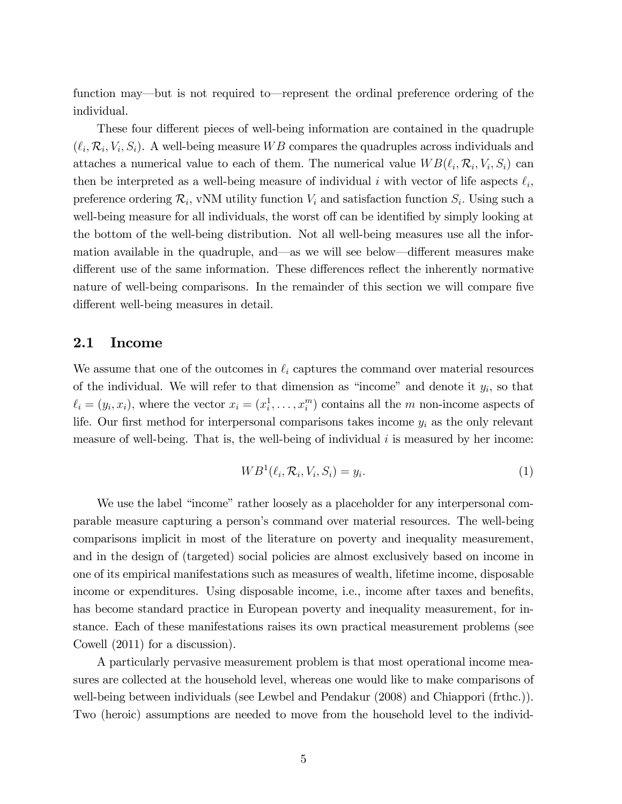function may—but is not required to—represent the ordinal preference ordering of the individual.

These four different pieces of well-being information are contained in the quadruple  $(\ell_i, \mathcal{R}_i, V_i, S_i)$ . A well-being measure WB compares the quadruples across individuals and attaches a numerical value to each of them. The numerical value  $WB(\ell_i, \mathcal{R}_i, V_i, S_i)$  can then be interpreted as a well-being measure of individual i with vector of life aspects  $\ell_i$ , preference ordering  $\mathcal{R}_i$ , vNM utility function  $V_i$  and satisfaction function  $S_i$ . Using such a well-being measure for all individuals, the worst off can be identified by simply looking at the bottom of the well-being distribution. Not all well-being measures use all the information available in the quadruple, and—as we will see below—different measures make different use of the same information. These differences reflect the inherently normative nature of well-being comparisons. In the remainder of this section we will compare five different well-being measures in detail.

#### 2.1 Income

We assume that one of the outcomes in  $\ell_i$  captures the command over material resources of the individual. We will refer to that dimension as "income" and denote it  $y_i$ , so that  $\ell_i = (y_i, x_i)$ , where the vector  $x_i = (x_i^1, \ldots, x_i^m)$  contains all the m non-income aspects of life. Our first method for interpersonal comparisons takes income  $y_i$  as the only relevant measure of well-being. That is, the well-being of individual i is measured by her income:

$$
WB^{1}(\ell_{i}, \mathcal{R}_{i}, V_{i}, S_{i}) = y_{i}.
$$
\n
$$
(1)
$$

We use the label "income" rather loosely as a placeholder for any interpersonal comparable measure capturing a personís command over material resources. The well-being comparisons implicit in most of the literature on poverty and inequality measurement, and in the design of (targeted) social policies are almost exclusively based on income in one of its empirical manifestations such as measures of wealth, lifetime income, disposable income or expenditures. Using disposable income, i.e., income after taxes and benefits, has become standard practice in European poverty and inequality measurement, for instance. Each of these manifestations raises its own practical measurement problems (see Cowell (2011) for a discussion).

A particularly pervasive measurement problem is that most operational income measures are collected at the household level, whereas one would like to make comparisons of well-being between individuals (see Lewbel and Pendakur (2008) and Chiappori (frthc.)). Two (heroic) assumptions are needed to move from the household level to the individ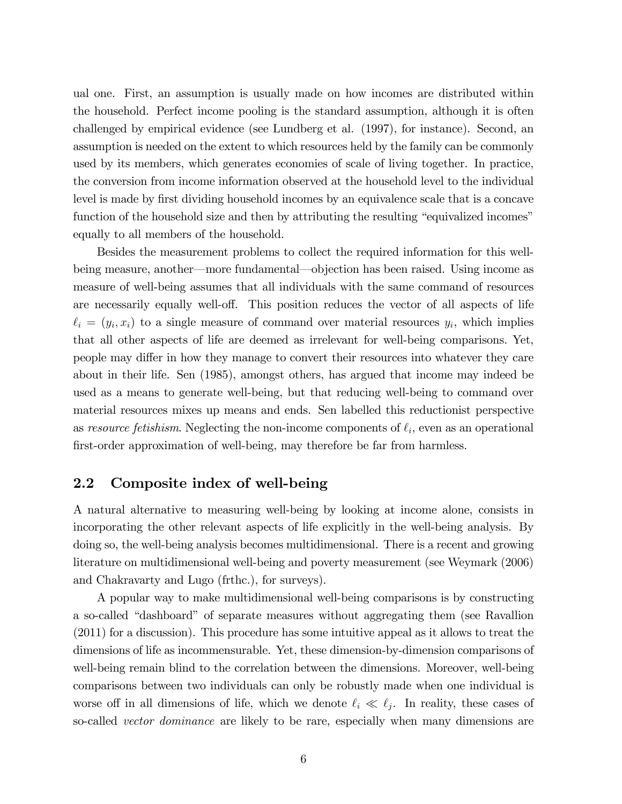ual one. First, an assumption is usually made on how incomes are distributed within the household. Perfect income pooling is the standard assumption, although it is often challenged by empirical evidence (see Lundberg et al. (1997), for instance). Second, an assumption is needed on the extent to which resources held by the family can be commonly used by its members, which generates economies of scale of living together. In practice, the conversion from income information observed at the household level to the individual level is made by first dividing household incomes by an equivalence scale that is a concave function of the household size and then by attributing the resulting "equivalized incomes" equally to all members of the household.

Besides the measurement problems to collect the required information for this wellbeing measure, another—more fundamental—objection has been raised. Using income as measure of well-being assumes that all individuals with the same command of resources are necessarily equally well-off. This position reduces the vector of all aspects of life  $\ell_i = (y_i, x_i)$  to a single measure of command over material resources  $y_i$ , which implies that all other aspects of life are deemed as irrelevant for well-being comparisons. Yet, people may differ in how they manage to convert their resources into whatever they care about in their life. Sen (1985), amongst others, has argued that income may indeed be used as a means to generate well-being, but that reducing well-being to command over material resources mixes up means and ends. Sen labelled this reductionist perspective as resource fetishism. Neglecting the non-income components of  $\ell_i$ , even as an operational first-order approximation of well-being, may therefore be far from harmless.

### 2.2 Composite index of well-being

A natural alternative to measuring well-being by looking at income alone, consists in incorporating the other relevant aspects of life explicitly in the well-being analysis. By doing so, the well-being analysis becomes multidimensional. There is a recent and growing literature on multidimensional well-being and poverty measurement (see Weymark (2006) and Chakravarty and Lugo (frthc.), for surveys).

A popular way to make multidimensional well-being comparisons is by constructing a so-called "dashboard" of separate measures without aggregating them (see Ravallion (2011) for a discussion). This procedure has some intuitive appeal as it allows to treat the dimensions of life as incommensurable. Yet, these dimension-by-dimension comparisons of well-being remain blind to the correlation between the dimensions. Moreover, well-being comparisons between two individuals can only be robustly made when one individual is worse of in all dimensions of life, which we denote  $\ell_i \ll \ell_j$ . In reality, these cases of so-called *vector dominance* are likely to be rare, especially when many dimensions are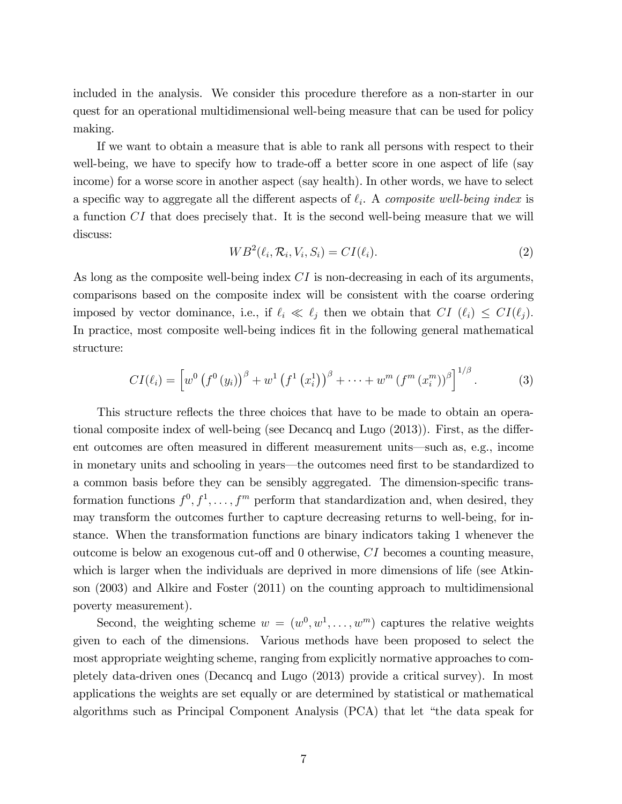included in the analysis. We consider this procedure therefore as a non-starter in our quest for an operational multidimensional well-being measure that can be used for policy making.

If we want to obtain a measure that is able to rank all persons with respect to their well-being, we have to specify how to trade-off a better score in one aspect of life (say income) for a worse score in another aspect (say health). In other words, we have to select a specific way to aggregate all the different aspects of  $\ell_i$ . A composite well-being index is a function CI that does precisely that. It is the second well-being measure that we will discuss:

$$
WB^{2}(\ell_{i}, \mathcal{R}_{i}, V_{i}, S_{i}) = CI(\ell_{i}).
$$
\n(2)

As long as the composite well-being index  $CI$  is non-decreasing in each of its arguments, comparisons based on the composite index will be consistent with the coarse ordering imposed by vector dominance, i.e., if  $\ell_i \ll \ell_j$  then we obtain that  $CI(\ell_i) \le CI(\ell_j)$ . In practice, most composite well-being indices fit in the following general mathematical structure:

$$
CI(\ell_i) = \left[ w^0 \left( f^0 \left( y_i \right) \right)^\beta + w^1 \left( f^1 \left( x_i^1 \right) \right)^\beta + \dots + w^m \left( f^m \left( x_i^m \right) \right)^\beta \right]^{1/\beta} . \tag{3}
$$

This structure reflects the three choices that have to be made to obtain an operational composite index of well-being (see Decancq and Lugo  $(2013)$ ). First, as the different outcomes are often measured in different measurement units—such as, e.g., income in monetary units and schooling in years—the outcomes need first to be standardized to a common basis before they can be sensibly aggregated. The dimension-specific transformation functions  $f^0, f^1, \ldots, f^m$  perform that standardization and, when desired, they may transform the outcomes further to capture decreasing returns to well-being, for instance. When the transformation functions are binary indicators taking 1 whenever the outcome is below an exogenous cut-off and  $\theta$  otherwise,  $CI$  becomes a counting measure, which is larger when the individuals are deprived in more dimensions of life (see Atkinson (2003) and Alkire and Foster (2011) on the counting approach to multidimensional poverty measurement).

Second, the weighting scheme  $w = (w^0, w^1, \dots, w^m)$  captures the relative weights given to each of the dimensions. Various methods have been proposed to select the most appropriate weighting scheme, ranging from explicitly normative approaches to completely data-driven ones (Decancq and Lugo (2013) provide a critical survey). In most applications the weights are set equally or are determined by statistical or mathematical algorithms such as Principal Component Analysis (PCA) that let "the data speak for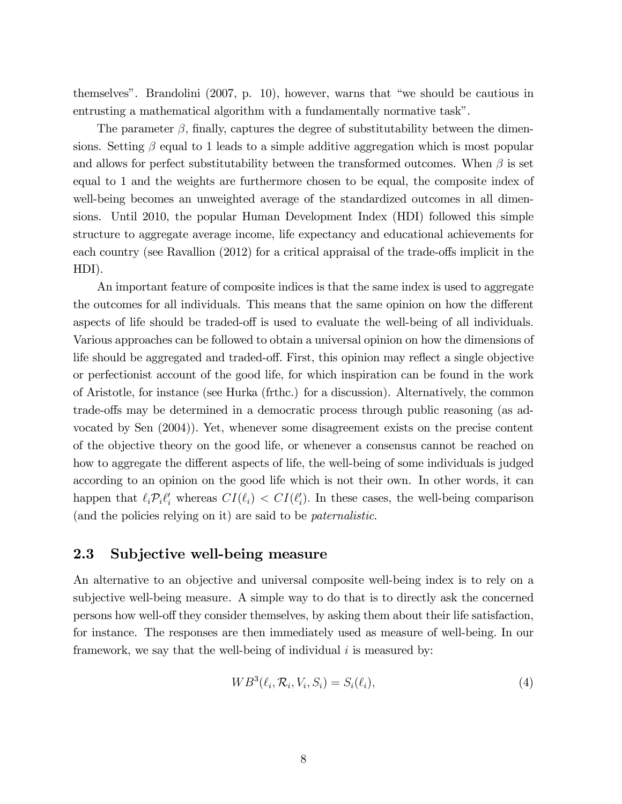themselves". Brandolini  $(2007, p. 10)$ , however, warns that "we should be cautious in entrusting a mathematical algorithm with a fundamentally normative task".

The parameter  $\beta$ , finally, captures the degree of substitutability between the dimensions. Setting  $\beta$  equal to 1 leads to a simple additive aggregation which is most popular and allows for perfect substitutability between the transformed outcomes. When  $\beta$  is set equal to 1 and the weights are furthermore chosen to be equal, the composite index of well-being becomes an unweighted average of the standardized outcomes in all dimensions. Until 2010, the popular Human Development Index (HDI) followed this simple structure to aggregate average income, life expectancy and educational achievements for each country (see Ravallion  $(2012)$  for a critical appraisal of the trade-offs implicit in the HDI).

An important feature of composite indices is that the same index is used to aggregate the outcomes for all individuals. This means that the same opinion on how the different aspects of life should be traded-off is used to evaluate the well-being of all individuals. Various approaches can be followed to obtain a universal opinion on how the dimensions of life should be aggregated and traded-off. First, this opinion may reflect a single objective or perfectionist account of the good life, for which inspiration can be found in the work of Aristotle, for instance (see Hurka (frthc.) for a discussion). Alternatively, the common trade-offs may be determined in a democratic process through public reasoning (as advocated by Sen (2004)). Yet, whenever some disagreement exists on the precise content of the objective theory on the good life, or whenever a consensus cannot be reached on how to aggregate the different aspects of life, the well-being of some individuals is judged according to an opinion on the good life which is not their own. In other words, it can happen that  $\ell_i \mathcal{P}_i \ell'_i$  whereas  $CI(\ell_i) < CI(\ell'_i)$ . In these cases, the well-being comparison (and the policies relying on it) are said to be paternalistic.

### 2.3 Subjective well-being measure

An alternative to an objective and universal composite well-being index is to rely on a subjective well-being measure. A simple way to do that is to directly ask the concerned persons how well-off they consider themselves, by asking them about their life satisfaction, for instance. The responses are then immediately used as measure of well-being. In our framework, we say that the well-being of individual  $i$  is measured by:

$$
WB^{3}(\ell_{i}, \mathcal{R}_{i}, V_{i}, S_{i}) = S_{i}(\ell_{i}), \qquad (4)
$$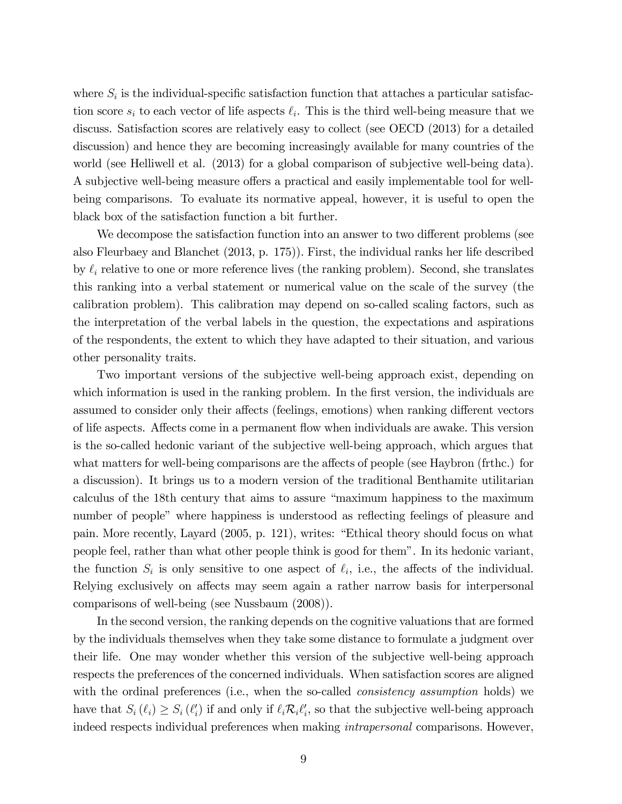where  $S_i$  is the individual-specific satisfaction function that attaches a particular satisfaction score  $s_i$  to each vector of life aspects  $\ell_i$ . This is the third well-being measure that we discuss. Satisfaction scores are relatively easy to collect (see OECD (2013) for a detailed discussion) and hence they are becoming increasingly available for many countries of the world (see Helliwell et al. (2013) for a global comparison of subjective well-being data). A subjective well-being measure offers a practical and easily implementable tool for wellbeing comparisons. To evaluate its normative appeal, however, it is useful to open the black box of the satisfaction function a bit further.

We decompose the satisfaction function into an answer to two different problems (see also Fleurbaey and Blanchet (2013, p. 175)). First, the individual ranks her life described by  $\ell_i$  relative to one or more reference lives (the ranking problem). Second, she translates this ranking into a verbal statement or numerical value on the scale of the survey (the calibration problem). This calibration may depend on so-called scaling factors, such as the interpretation of the verbal labels in the question, the expectations and aspirations of the respondents, the extent to which they have adapted to their situation, and various other personality traits.

Two important versions of the subjective well-being approach exist, depending on which information is used in the ranking problem. In the first version, the individuals are assumed to consider only their affects (feelings, emotions) when ranking different vectors of life aspects. Affects come in a permanent flow when individuals are awake. This version is the so-called hedonic variant of the subjective well-being approach, which argues that what matters for well-being comparisons are the affects of people (see Haybron (frthc.) for a discussion). It brings us to a modern version of the traditional Benthamite utilitarian calculus of the 18th century that aims to assure "maximum happiness to the maximum number of people" where happiness is understood as reflecting feelings of pleasure and pain. More recently, Layard (2005, p. 121), writes: "Ethical theory should focus on what people feel, rather than what other people think is good for themî. In its hedonic variant, the function  $S_i$  is only sensitive to one aspect of  $\ell_i$ , i.e., the affects of the individual. Relying exclusively on affects may seem again a rather narrow basis for interpersonal comparisons of well-being (see Nussbaum (2008)).

In the second version, the ranking depends on the cognitive valuations that are formed by the individuals themselves when they take some distance to formulate a judgment over their life. One may wonder whether this version of the subjective well-being approach respects the preferences of the concerned individuals. When satisfaction scores are aligned with the ordinal preferences (i.e., when the so-called *consistency assumption* holds) we have that  $S_i(\ell_i) \geq S_i(\ell'_i)$  if and only if  $\ell_i \mathcal{R}_i \ell'_i$ , so that the subjective well-being approach indeed respects individual preferences when making intrapersonal comparisons. However,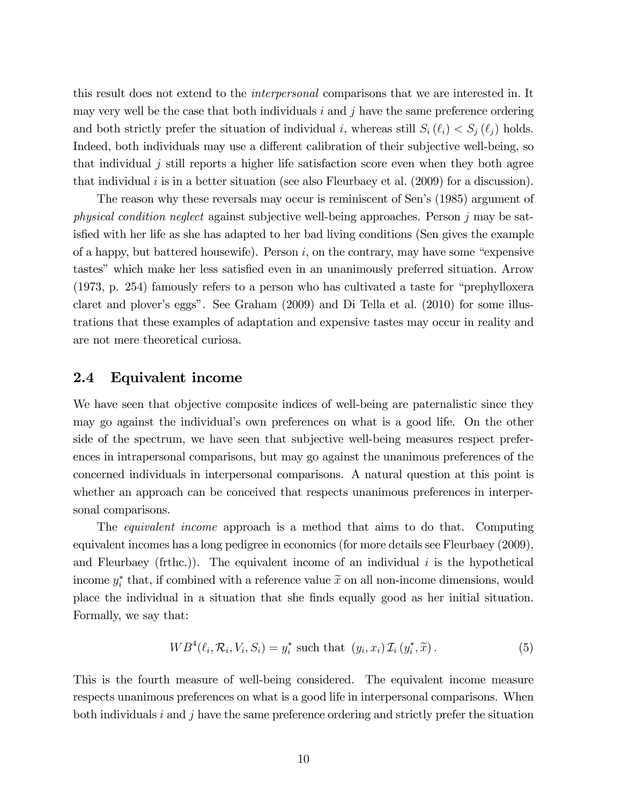this result does not extend to the interpersonal comparisons that we are interested in. It may very well be the case that both individuals  $i$  and  $j$  have the same preference ordering and both strictly prefer the situation of individual i, whereas still  $S_i(\ell_i) < S_j(\ell_j)$  holds. Indeed, both individuals may use a different calibration of their subjective well-being, so that individual  $j$  still reports a higher life satisfaction score even when they both agree that individual  $i$  is in a better situation (see also Fleurbaey et al. (2009) for a discussion).

The reason why these reversals may occur is reminiscent of Sen's (1985) argument of physical condition neglect against subjective well-being approaches. Person j may be satisfied with her life as she has adapted to her bad living conditions (Sen gives the example of a happy, but battered housewife). Person  $i$ , on the contrary, may have some "expensive tastes" which make her less satisfied even in an unanimously preferred situation. Arrow  $(1973, p. 254)$  famously refers to a person who has cultivated a taste for "prephylloxera" claret and plover's eggs". See Graham  $(2009)$  and Di Tella et al.  $(2010)$  for some illustrations that these examples of adaptation and expensive tastes may occur in reality and are not mere theoretical curiosa.

### 2.4 Equivalent income

We have seen that objective composite indices of well-being are paternalistic since they may go against the individualís own preferences on what is a good life. On the other side of the spectrum, we have seen that subjective well-being measures respect preferences in intrapersonal comparisons, but may go against the unanimous preferences of the concerned individuals in interpersonal comparisons. A natural question at this point is whether an approach can be conceived that respects unanimous preferences in interpersonal comparisons.

The *equivalent income* approach is a method that aims to do that. Computing equivalent incomes has a long pedigree in economics (for more details see Fleurbaey (2009), and Fleurbaey (frthc.)). The equivalent income of an individual  $i$  is the hypothetical income  $y_i^*$  that, if combined with a reference value  $\tilde{x}$  on all non-income dimensions, would place the individual in a situation that she Önds equally good as her initial situation. Formally, we say that:

$$
WB^{4}(\ell_{i}, \mathcal{R}_{i}, V_{i}, S_{i}) = y_{i}^{*} \text{ such that } (y_{i}, x_{i}) \mathcal{I}_{i} (y_{i}^{*}, \widetilde{x}). \qquad (5)
$$

This is the fourth measure of well-being considered. The equivalent income measure respects unanimous preferences on what is a good life in interpersonal comparisons. When both individuals  $i$  and  $j$  have the same preference ordering and strictly prefer the situation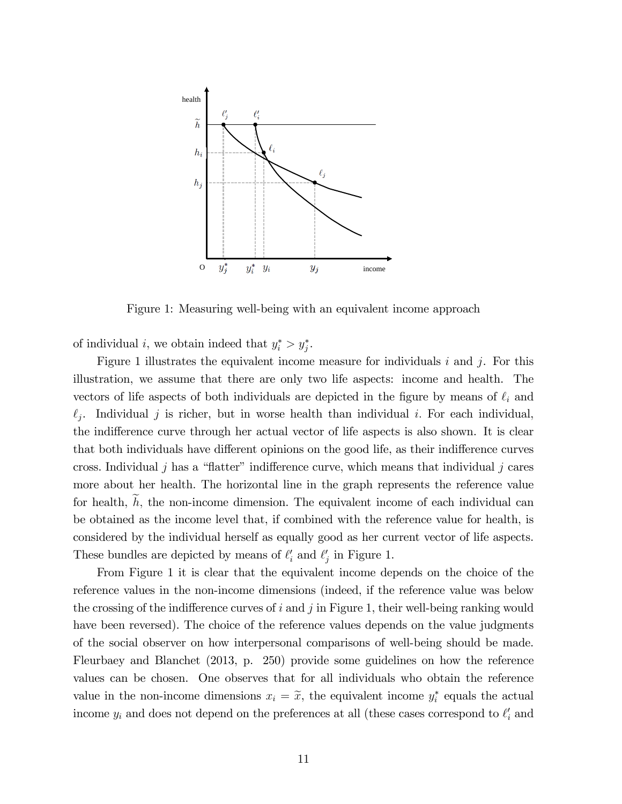

Figure 1: Measuring well-being with an equivalent income approach

of individual *i*, we obtain indeed that  $y_i^* > y_j^*$ .

Figure 1 illustrates the equivalent income measure for individuals  $i$  and  $j$ . For this illustration, we assume that there are only two life aspects: income and health. The vectors of life aspects of both individuals are depicted in the figure by means of  $\ell_i$  and  $\ell_j$ . Individual j is richer, but in worse health than individual i. For each individual, the indifference curve through her actual vector of life aspects is also shown. It is clear that both individuals have different opinions on the good life, as their indifference curves cross. Individual j has a "flatter" indifference curve, which means that individual j cares more about her health. The horizontal line in the graph represents the reference value for health,  $\widetilde{h}$ , the non-income dimension. The equivalent income of each individual can be obtained as the income level that, if combined with the reference value for health, is considered by the individual herself as equally good as her current vector of life aspects. These bundles are depicted by means of  $\ell'_i$  and  $\ell'_j$  in Figure 1.

From Figure 1 it is clear that the equivalent income depends on the choice of the reference values in the non-income dimensions (indeed, if the reference value was below the crossing of the indifference curves of  $i$  and  $j$  in Figure 1, their well-being ranking would have been reversed). The choice of the reference values depends on the value judgments of the social observer on how interpersonal comparisons of well-being should be made. Fleurbaey and Blanchet (2013, p. 250) provide some guidelines on how the reference values can be chosen. One observes that for all individuals who obtain the reference value in the non-income dimensions  $x_i = \tilde{x}$ , the equivalent income  $y_i^*$  equals the actual income  $y_i$  and does not depend on the preferences at all (these cases correspond to  $\ell'_i$  and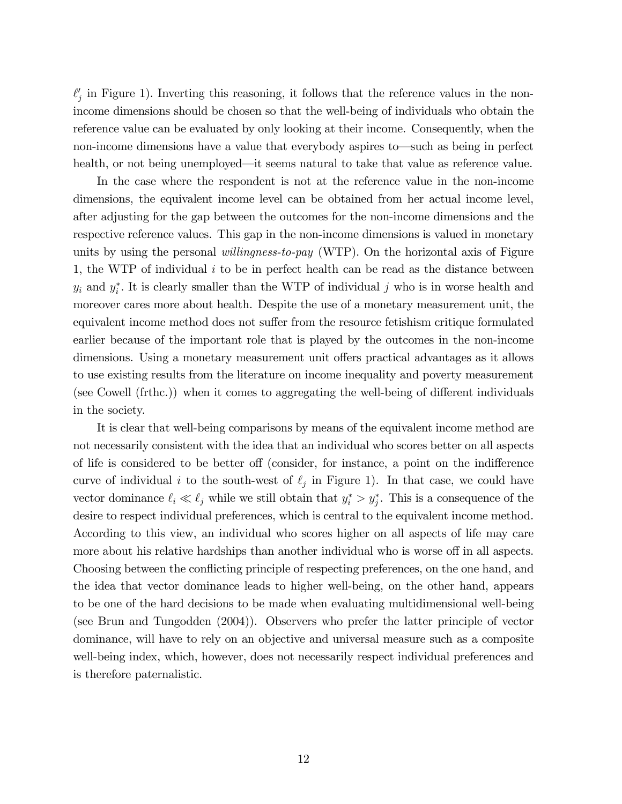$\ell'_j$  in Figure 1). Inverting this reasoning, it follows that the reference values in the nonincome dimensions should be chosen so that the well-being of individuals who obtain the reference value can be evaluated by only looking at their income. Consequently, when the non-income dimensions have a value that everybody aspires to—such as being in perfect health, or not being unemployed—it seems natural to take that value as reference value.

In the case where the respondent is not at the reference value in the non-income dimensions, the equivalent income level can be obtained from her actual income level, after adjusting for the gap between the outcomes for the non-income dimensions and the respective reference values. This gap in the non-income dimensions is valued in monetary units by using the personal *willingness-to-pay* (WTP). On the horizontal axis of Figure 1, the WTP of individual  $i$  to be in perfect health can be read as the distance between  $y_i$  and  $y_i^*$ . It is clearly smaller than the WTP of individual j who is in worse health and moreover cares more about health. Despite the use of a monetary measurement unit, the equivalent income method does not suffer from the resource fetishism critique formulated earlier because of the important role that is played by the outcomes in the non-income dimensions. Using a monetary measurement unit offers practical advantages as it allows to use existing results from the literature on income inequality and poverty measurement (see Cowell (frthc.)) when it comes to aggregating the well-being of different individuals in the society.

It is clear that well-being comparisons by means of the equivalent income method are not necessarily consistent with the idea that an individual who scores better on all aspects of life is considered to be better of (consider, for instance, a point on the indifference curve of individual i to the south-west of  $\ell_j$  in Figure 1). In that case, we could have vector dominance  $\ell_i \ll \ell_j$  while we still obtain that  $y_i^* > y_j^*$ . This is a consequence of the desire to respect individual preferences, which is central to the equivalent income method. According to this view, an individual who scores higher on all aspects of life may care more about his relative hardships than another individual who is worse off in all aspects. Choosing between the conflicting principle of respecting preferences, on the one hand, and the idea that vector dominance leads to higher well-being, on the other hand, appears to be one of the hard decisions to be made when evaluating multidimensional well-being (see Brun and Tungodden (2004)). Observers who prefer the latter principle of vector dominance, will have to rely on an objective and universal measure such as a composite well-being index, which, however, does not necessarily respect individual preferences and is therefore paternalistic.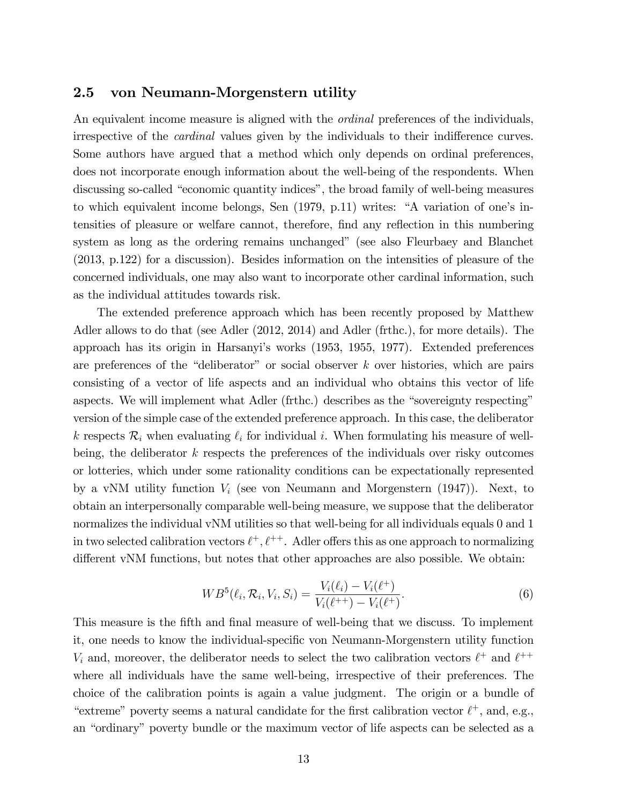### 2.5 von Neumann-Morgenstern utility

An equivalent income measure is aligned with the *ordinal* preferences of the individuals, irrespective of the *cardinal* values given by the individuals to their indifference curves. Some authors have argued that a method which only depends on ordinal preferences, does not incorporate enough information about the well-being of the respondents. When discussing so-called "economic quantity indices", the broad family of well-being measures to which equivalent income belongs, Sen  $(1979, p.11)$  writes: "A variation of one's intensities of pleasure or welfare cannot, therefore, find any reflection in this numbering system as long as the ordering remains unchanged" (see also Fleurbaey and Blanchet (2013, p.122) for a discussion). Besides information on the intensities of pleasure of the concerned individuals, one may also want to incorporate other cardinal information, such as the individual attitudes towards risk.

The extended preference approach which has been recently proposed by Matthew Adler allows to do that (see Adler (2012, 2014) and Adler (frthc.), for more details). The approach has its origin in Harsanyiís works (1953, 1955, 1977). Extended preferences are preferences of the "deliberator" or social observer  $k$  over histories, which are pairs consisting of a vector of life aspects and an individual who obtains this vector of life aspects. We will implement what Adler (frthc.) describes as the "sovereignty respecting" version of the simple case of the extended preference approach. In this case, the deliberator k respects  $\mathcal{R}_i$  when evaluating  $\ell_i$  for individual i. When formulating his measure of wellbeing, the deliberator  $k$  respects the preferences of the individuals over risky outcomes or lotteries, which under some rationality conditions can be expectationally represented by a vNM utility function  $V_i$  (see von Neumann and Morgenstern  $(1947)$ ). Next, to obtain an interpersonally comparable well-being measure, we suppose that the deliberator normalizes the individual vNM utilities so that well-being for all individuals equals 0 and 1 in two selected calibration vectors  $\ell^+, \ell^{++}$ . Adler offers this as one approach to normalizing different vNM functions, but notes that other approaches are also possible. We obtain:

$$
WB^{5}(\ell_{i}, \mathcal{R}_{i}, V_{i}, S_{i}) = \frac{V_{i}(\ell_{i}) - V_{i}(\ell^{+})}{V_{i}(\ell^{++}) - V_{i}(\ell^{+})}.
$$
\n(6)

This measure is the fifth and final measure of well-being that we discuss. To implement it, one needs to know the individual-specific von Neumann-Morgenstern utility function  $V_i$  and, moreover, the deliberator needs to select the two calibration vectors  $\ell^+$  and  $\ell^{++}$ where all individuals have the same well-being, irrespective of their preferences: The choice of the calibration points is again a value judgment. The origin or a bundle of "extreme" poverty seems a natural candidate for the first calibration vector  $\ell^+$ , and, e.g., an "ordinary" poverty bundle or the maximum vector of life aspects can be selected as a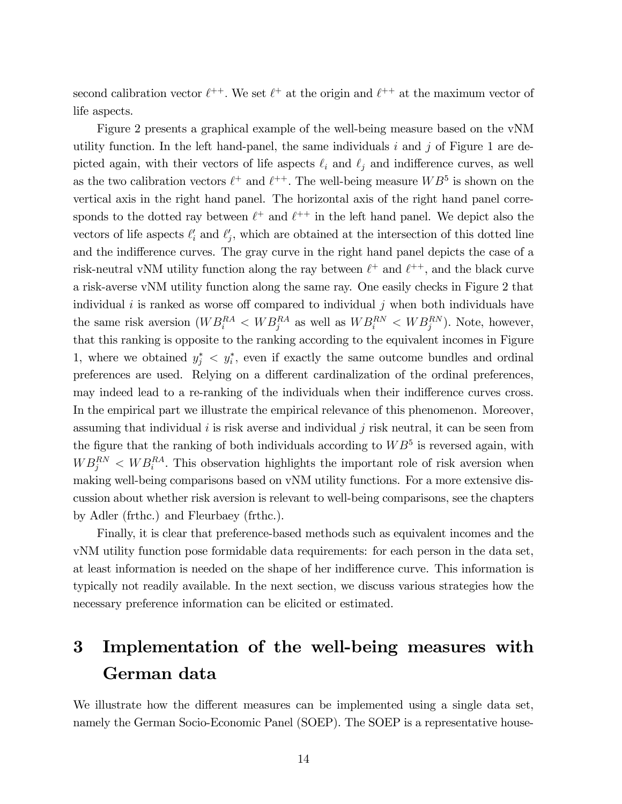second calibration vector  $\ell^{++}$ . We set  $\ell^+$  at the origin and  $\ell^{++}$  at the maximum vector of life aspects.

Figure 2 presents a graphical example of the well-being measure based on the vNM utility function. In the left hand-panel, the same individuals  $i$  and  $j$  of Figure 1 are depicted again, with their vectors of life aspects  $\ell_i$  and  $\ell_j$  and indifference curves, as well as the two calibration vectors  $\ell^+$  and  $\ell^{++}$ . The well-being measure  $WB^5$  is shown on the vertical axis in the right hand panel. The horizontal axis of the right hand panel corresponds to the dotted ray between  $\ell^+$  and  $\ell^{++}$  in the left hand panel. We depict also the vectors of life aspects  $\ell'_i$  and  $\ell'_j$ , which are obtained at the intersection of this dotted line and the indifference curves. The gray curve in the right hand panel depicts the case of a risk-neutral vNM utility function along the ray between  $\ell^+$  and  $\ell^{++}$ , and the black curve a risk-averse vNM utility function along the same ray. One easily checks in Figure 2 that individual i is ranked as worse off compared to individual j when both individuals have the same risk aversion  $(WB_i^{RA} < WB_j^{RA}$  as well as  $WB_i^{RN} < WB_j^{RN}$ ). Note, however, that this ranking is opposite to the ranking according to the equivalent incomes in Figure 1, where we obtained  $y_j^* \leq y_i^*$ , even if exactly the same outcome bundles and ordinal preferences are used. Relying on a different cardinalization of the ordinal preferences, may indeed lead to a re-ranking of the individuals when their indifference curves cross. In the empirical part we illustrate the empirical relevance of this phenomenon. Moreover, assuming that individual  $i$  is risk averse and individual  $j$  risk neutral, it can be seen from the figure that the ranking of both individuals according to  $WB^5$  is reversed again, with  $WB_j^{RN}$  <  $WB_i^{RA}$ . This observation highlights the important role of risk aversion when making well-being comparisons based on vNM utility functions. For a more extensive discussion about whether risk aversion is relevant to well-being comparisons, see the chapters by Adler (frthc.) and Fleurbaey (frthc.).

Finally, it is clear that preference-based methods such as equivalent incomes and the vNM utility function pose formidable data requirements: for each person in the data set, at least information is needed on the shape of her indifference curve. This information is typically not readily available. In the next section, we discuss various strategies how the necessary preference information can be elicited or estimated.

## 3 Implementation of the well-being measures with German data

We illustrate how the different measures can be implemented using a single data set, namely the German Socio-Economic Panel (SOEP). The SOEP is a representative house-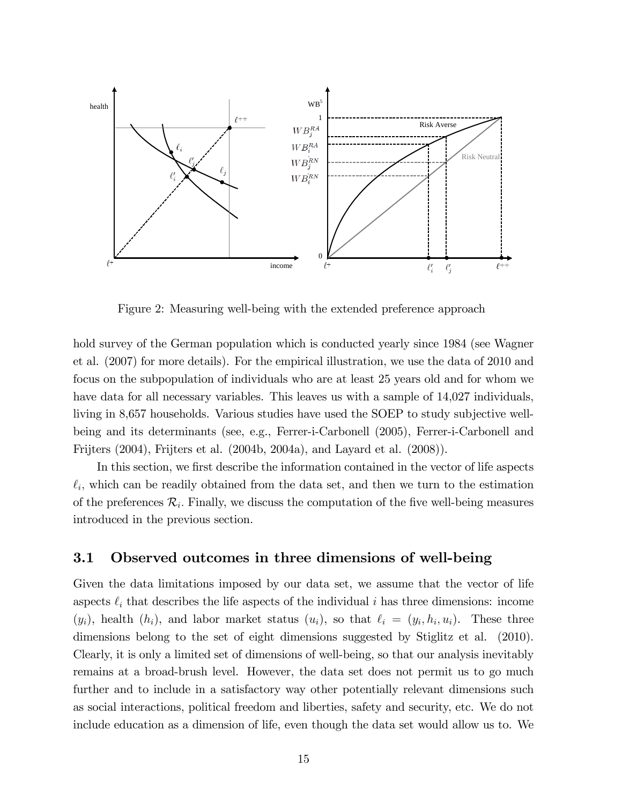

Figure 2: Measuring well-being with the extended preference approach

hold survey of the German population which is conducted yearly since 1984 (see Wagner et al. (2007) for more details). For the empirical illustration, we use the data of 2010 and focus on the subpopulation of individuals who are at least 25 years old and for whom we have data for all necessary variables. This leaves us with a sample of 14,027 individuals, living in 8,657 households. Various studies have used the SOEP to study subjective wellbeing and its determinants (see, e.g., Ferrer-i-Carbonell (2005), Ferrer-i-Carbonell and Frijters (2004), Frijters et al. (2004b, 2004a), and Layard et al. (2008)).

In this section, we first describe the information contained in the vector of life aspects  $\ell_i$ , which can be readily obtained from the data set, and then we turn to the estimation of the preferences  $\mathcal{R}_i$ . Finally, we discuss the computation of the five well-being measures introduced in the previous section.

### 3.1 Observed outcomes in three dimensions of well-being

Given the data limitations imposed by our data set, we assume that the vector of life aspects  $\ell_i$  that describes the life aspects of the individual i has three dimensions: income  $(y_i)$ , health  $(h_i)$ , and labor market status  $(u_i)$ , so that  $\ell_i = (y_i, h_i, u_i)$ . These three dimensions belong to the set of eight dimensions suggested by Stiglitz et al. (2010). Clearly, it is only a limited set of dimensions of well-being, so that our analysis inevitably remains at a broad-brush level. However, the data set does not permit us to go much further and to include in a satisfactory way other potentially relevant dimensions such as social interactions, political freedom and liberties, safety and security, etc. We do not include education as a dimension of life, even though the data set would allow us to. We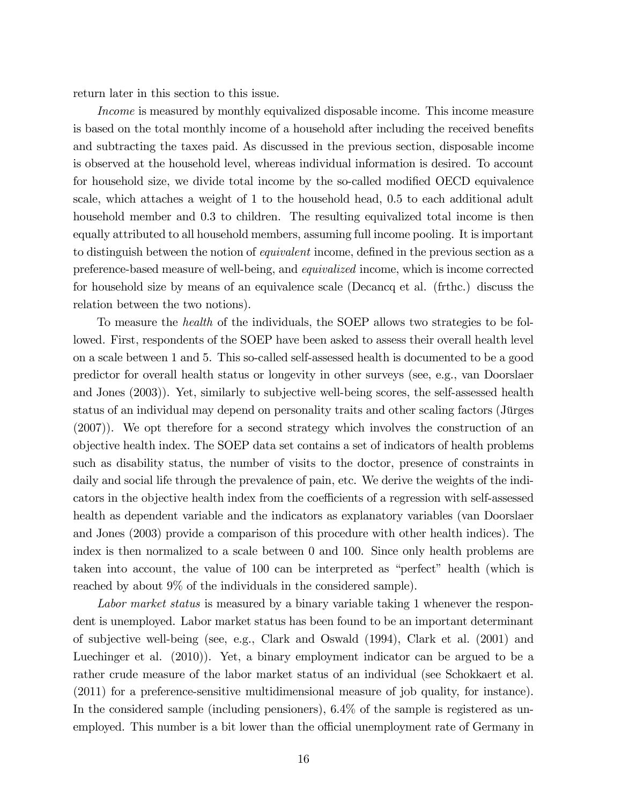return later in this section to this issue.

Income is measured by monthly equivalized disposable income. This income measure is based on the total monthly income of a household after including the received benefits and subtracting the taxes paid. As discussed in the previous section, disposable income is observed at the household level, whereas individual information is desired. To account for household size, we divide total income by the so-called modified OECD equivalence scale, which attaches a weight of 1 to the household head, 0.5 to each additional adult household member and 0.3 to children. The resulting equivalized total income is then equally attributed to all household members, assuming full income pooling. It is important to distinguish between the notion of *equivalent* income, defined in the previous section as a preference-based measure of well-being, and equivalized income, which is income corrected for household size by means of an equivalence scale (Decancq et al. (frthc.) discuss the relation between the two notions).

To measure the health of the individuals, the SOEP allows two strategies to be followed. First, respondents of the SOEP have been asked to assess their overall health level on a scale between 1 and 5. This so-called self-assessed health is documented to be a good predictor for overall health status or longevity in other surveys (see, e.g., van Doorslaer and Jones (2003)). Yet, similarly to subjective well-being scores, the self-assessed health status of an individual may depend on personality traits and other scaling factors (Jürges (2007)). We opt therefore for a second strategy which involves the construction of an objective health index. The SOEP data set contains a set of indicators of health problems such as disability status, the number of visits to the doctor, presence of constraints in daily and social life through the prevalence of pain, etc. We derive the weights of the indicators in the objective health index from the coefficients of a regression with self-assessed health as dependent variable and the indicators as explanatory variables (van Doorslaer and Jones (2003) provide a comparison of this procedure with other health indices). The index is then normalized to a scale between 0 and 100. Since only health problems are taken into account, the value of 100 can be interpreted as "perfect" health (which is reached by about 9% of the individuals in the considered sample).

Labor market status is measured by a binary variable taking 1 whenever the respondent is unemployed. Labor market status has been found to be an important determinant of subjective well-being (see, e.g., Clark and Oswald (1994), Clark et al. (2001) and Luechinger et al. (2010)). Yet, a binary employment indicator can be argued to be a rather crude measure of the labor market status of an individual (see Schokkaert et al. (2011) for a preference-sensitive multidimensional measure of job quality, for instance). In the considered sample (including pensioners), 6.4% of the sample is registered as unemployed. This number is a bit lower than the official unemployment rate of Germany in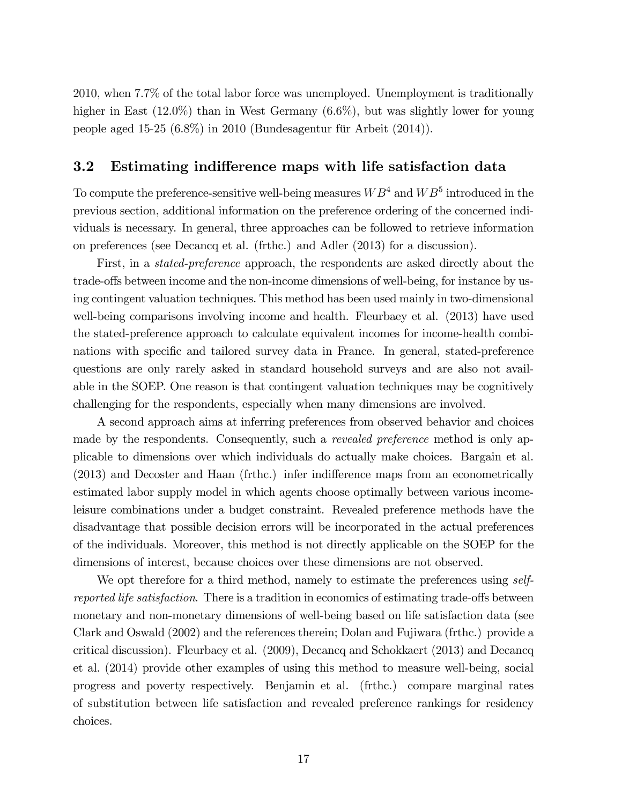2010, when 7.7% of the total labor force was unemployed. Unemployment is traditionally higher in East (12.0%) than in West Germany (6.6%), but was slightly lower for young people aged 15-25  $(6.8\%)$  in 2010 (Bundesagentur für Arbeit  $(2014)$ ).

### 3.2 Estimating indifference maps with life satisfaction data

To compute the preference-sensitive well-being measures  $WB^4$  and  $WB^5$  introduced in the previous section, additional information on the preference ordering of the concerned individuals is necessary. In general, three approaches can be followed to retrieve information on preferences (see Decancq et al. (frthc.) and Adler (2013) for a discussion).

First, in a stated-preference approach, the respondents are asked directly about the trade-offs between income and the non-income dimensions of well-being, for instance by using contingent valuation techniques. This method has been used mainly in two-dimensional well-being comparisons involving income and health. Fleurbaey et al. (2013) have used the stated-preference approach to calculate equivalent incomes for income-health combinations with specific and tailored survey data in France. In general, stated-preference questions are only rarely asked in standard household surveys and are also not available in the SOEP. One reason is that contingent valuation techniques may be cognitively challenging for the respondents, especially when many dimensions are involved.

A second approach aims at inferring preferences from observed behavior and choices made by the respondents. Consequently, such a *revealed preference* method is only applicable to dimensions over which individuals do actually make choices. Bargain et al. (2013) and Decoster and Haan (frthc.) infer indifference maps from an econometrically estimated labor supply model in which agents choose optimally between various incomeleisure combinations under a budget constraint. Revealed preference methods have the disadvantage that possible decision errors will be incorporated in the actual preferences of the individuals. Moreover, this method is not directly applicable on the SOEP for the dimensions of interest, because choices over these dimensions are not observed.

We opt therefore for a third method, namely to estimate the preferences using selfreported life satisfaction. There is a tradition in economics of estimating trade-offs between monetary and non-monetary dimensions of well-being based on life satisfaction data (see Clark and Oswald (2002) and the references therein; Dolan and Fujiwara (frthc.) provide a critical discussion). Fleurbaey et al. (2009), Decancq and Schokkaert (2013) and Decancq et al. (2014) provide other examples of using this method to measure well-being, social progress and poverty respectively. Benjamin et al. (frthc.) compare marginal rates of substitution between life satisfaction and revealed preference rankings for residency choices.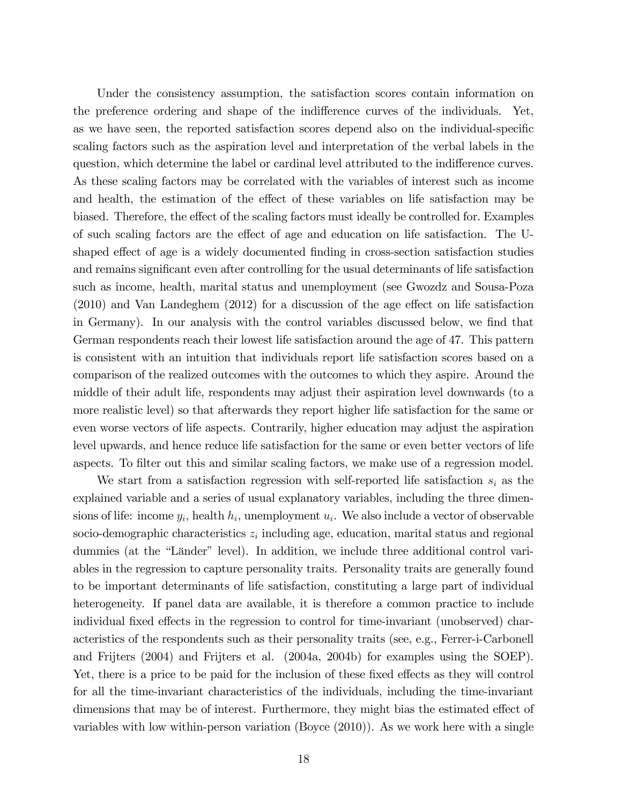Under the consistency assumption, the satisfaction scores contain information on the preference ordering and shape of the indifference curves of the individuals. Yet, as we have seen, the reported satisfaction scores depend also on the individual-specific scaling factors such as the aspiration level and interpretation of the verbal labels in the question, which determine the label or cardinal level attributed to the indifference curves. As these scaling factors may be correlated with the variables of interest such as income and health, the estimation of the effect of these variables on life satisfaction may be biased. Therefore, the effect of the scaling factors must ideally be controlled for. Examples of such scaling factors are the effect of age and education on life satisfaction. The Ushaped effect of age is a widely documented finding in cross-section satisfaction studies and remains significant even after controlling for the usual determinants of life satisfaction such as income, health, marital status and unemployment (see Gwozdz and Sousa-Poza  $(2010)$  and Van Landeghem  $(2012)$  for a discussion of the age effect on life satisfaction in Germany). In our analysis with the control variables discussed below, we find that German respondents reach their lowest life satisfaction around the age of 47. This pattern is consistent with an intuition that individuals report life satisfaction scores based on a comparison of the realized outcomes with the outcomes to which they aspire. Around the middle of their adult life, respondents may adjust their aspiration level downwards (to a more realistic level) so that afterwards they report higher life satisfaction for the same or even worse vectors of life aspects. Contrarily, higher education may adjust the aspiration level upwards, and hence reduce life satisfaction for the same or even better vectors of life aspects. To filter out this and similar scaling factors, we make use of a regression model.

We start from a satisfaction regression with self-reported life satisfaction  $s_i$  as the explained variable and a series of usual explanatory variables, including the three dimensions of life: income  $y_i$ , health  $h_i$ , unemployment  $u_i$ . We also include a vector of observable socio-demographic characteristics  $z_i$  including age, education, marital status and regional dummies (at the "Länder" level). In addition, we include three additional control variables in the regression to capture personality traits. Personality traits are generally found to be important determinants of life satisfaction, constituting a large part of individual heterogeneity. If panel data are available, it is therefore a common practice to include individual fixed effects in the regression to control for time-invariant (unobserved) characteristics of the respondents such as their personality traits (see, e.g., Ferrer-i-Carbonell and Frijters (2004) and Frijters et al. (2004a, 2004b) for examples using the SOEP). Yet, there is a price to be paid for the inclusion of these fixed effects as they will control for all the time-invariant characteristics of the individuals, including the time-invariant dimensions that may be of interest. Furthermore, they might bias the estimated effect of variables with low within-person variation (Boyce (2010)). As we work here with a single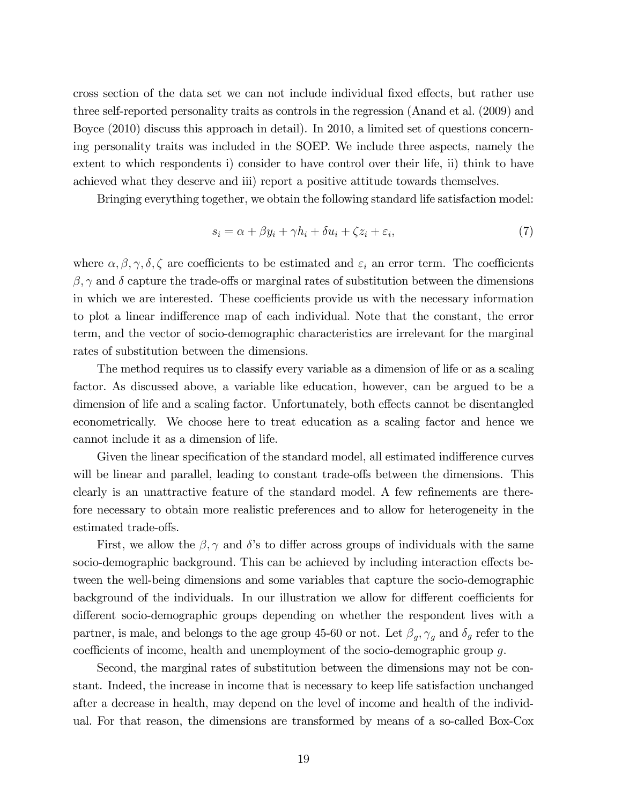cross section of the data set we can not include individual fixed effects, but rather use three self-reported personality traits as controls in the regression (Anand et al. (2009) and Boyce (2010) discuss this approach in detail). In 2010, a limited set of questions concerning personality traits was included in the SOEP. We include three aspects, namely the extent to which respondents i) consider to have control over their life, ii) think to have achieved what they deserve and iii) report a positive attitude towards themselves.

Bringing everything together, we obtain the following standard life satisfaction model:

$$
s_i = \alpha + \beta y_i + \gamma h_i + \delta u_i + \zeta z_i + \varepsilon_i,\tag{7}
$$

where  $\alpha, \beta, \gamma, \delta, \zeta$  are coefficients to be estimated and  $\varepsilon_i$  an error term. The coefficients  $\beta$ ,  $\gamma$  and  $\delta$  capture the trade-offs or marginal rates of substitution between the dimensions in which we are interested. These coefficients provide us with the necessary information to plot a linear indifference map of each individual. Note that the constant, the error term, and the vector of socio-demographic characteristics are irrelevant for the marginal rates of substitution between the dimensions.

The method requires us to classify every variable as a dimension of life or as a scaling factor. As discussed above, a variable like education, however, can be argued to be a dimension of life and a scaling factor. Unfortunately, both effects cannot be disentangled econometrically. We choose here to treat education as a scaling factor and hence we cannot include it as a dimension of life.

Given the linear specification of the standard model, all estimated indifference curves will be linear and parallel, leading to constant trade-offs between the dimensions. This clearly is an unattractive feature of the standard model. A few refinements are therefore necessary to obtain more realistic preferences and to allow for heterogeneity in the estimated trade-offs.

First, we allow the  $\beta$ ,  $\gamma$  and  $\delta$ 's to differ across groups of individuals with the same socio-demographic background. This can be achieved by including interaction effects between the well-being dimensions and some variables that capture the socio-demographic background of the individuals. In our illustration we allow for different coefficients for different socio-demographic groups depending on whether the respondent lives with a partner, is male, and belongs to the age group 45-60 or not. Let  $\beta_g$ ,  $\gamma_g$  and  $\delta_g$  refer to the coefficients of income, health and unemployment of the socio-demographic group  $g$ .

Second, the marginal rates of substitution between the dimensions may not be constant. Indeed, the increase in income that is necessary to keep life satisfaction unchanged after a decrease in health, may depend on the level of income and health of the individual. For that reason, the dimensions are transformed by means of a so-called Box-Cox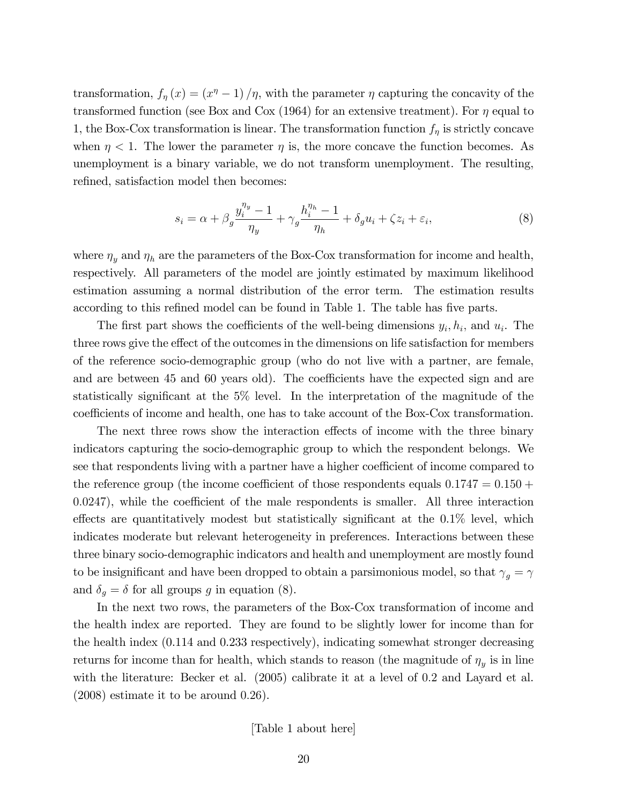transformation,  $f_{\eta}(x) = (x^{\eta} - 1)/\eta$ , with the parameter  $\eta$  capturing the concavity of the transformed function (see Box and Cox (1964) for an extensive treatment). For  $\eta$  equal to 1, the Box-Cox transformation is linear. The transformation function  $f_{\eta}$  is strictly concave when  $\eta < 1$ . The lower the parameter  $\eta$  is, the more concave the function becomes. As unemployment is a binary variable, we do not transform unemployment. The resulting, refined, satisfaction model then becomes:

$$
s_i = \alpha + \beta_g \frac{y_i^{\eta_y} - 1}{\eta_y} + \gamma_g \frac{h_i^{\eta_h} - 1}{\eta_h} + \delta_g u_i + \zeta z_i + \varepsilon_i,
$$
\n(8)

where  $\eta_u$  and  $\eta_h$  are the parameters of the Box-Cox transformation for income and health, respectively. All parameters of the model are jointly estimated by maximum likelihood estimation assuming a normal distribution of the error term. The estimation results according to this refined model can be found in Table 1. The table has five parts.

The first part shows the coefficients of the well-being dimensions  $y_i, h_i$ , and  $u_i$ . The three rows give the effect of the outcomes in the dimensions on life satisfaction for members of the reference socio-demographic group (who do not live with a partner, are female, and are between 45 and 60 years old). The coefficients have the expected sign and are statistically significant at the  $5\%$  level. In the interpretation of the magnitude of the coefficients of income and health, one has to take account of the Box-Cox transformation.

The next three rows show the interaction effects of income with the three binary indicators capturing the socio-demographic group to which the respondent belongs. We see that respondents living with a partner have a higher coefficient of income compared to the reference group (the income coefficient of those respondents equals  $0.1747 = 0.150 +$  $(0.0247)$ , while the coefficient of the male respondents is smaller. All three interaction effects are quantitatively modest but statistically significant at the  $0.1\%$  level, which indicates moderate but relevant heterogeneity in preferences. Interactions between these three binary socio-demographic indicators and health and unemployment are mostly found to be insignificant and have been dropped to obtain a parsimonious model, so that  $\gamma_g=\gamma$ and  $\delta_g = \delta$  for all groups g in equation (8).

In the next two rows, the parameters of the Box-Cox transformation of income and the health index are reported. They are found to be slightly lower for income than for the health index (0.114 and 0.233 respectively), indicating somewhat stronger decreasing returns for income than for health, which stands to reason (the magnitude of  $\eta_y$  is in line with the literature: Becker et al. (2005) calibrate it at a level of 0.2 and Layard et al.  $(2008)$  estimate it to be around  $(0.26)$ .

[Table 1 about here]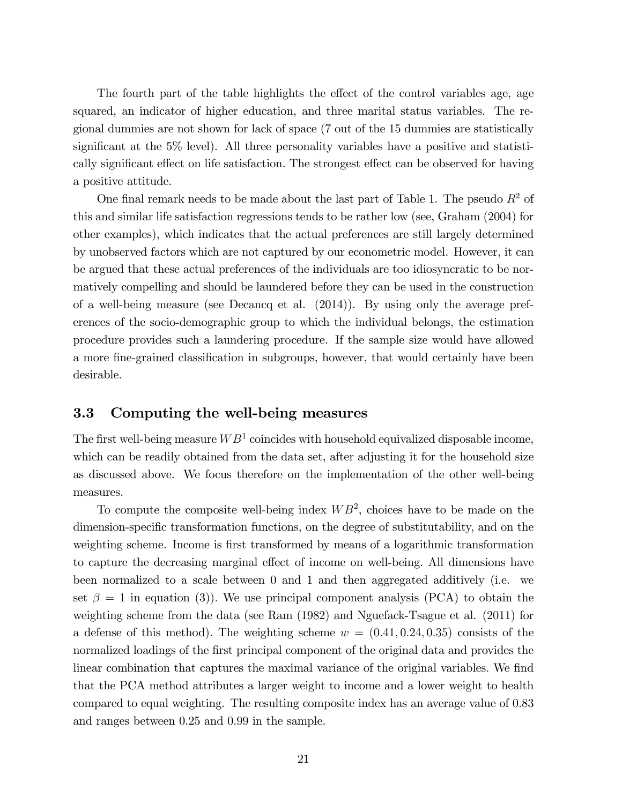The fourth part of the table highlights the effect of the control variables age, age squared, an indicator of higher education, and three marital status variables. The regional dummies are not shown for lack of space (7 out of the 15 dummies are statistically significant at the  $5\%$  level). All three personality variables have a positive and statistically significant effect on life satisfaction. The strongest effect can be observed for having a positive attitude.

One final remark needs to be made about the last part of Table 1. The pseudo  $R^2$  of this and similar life satisfaction regressions tends to be rather low (see, Graham (2004) for other examples), which indicates that the actual preferences are still largely determined by unobserved factors which are not captured by our econometric model. However, it can be argued that these actual preferences of the individuals are too idiosyncratic to be normatively compelling and should be laundered before they can be used in the construction of a well-being measure (see Decancq et al. (2014)). By using only the average preferences of the socio-demographic group to which the individual belongs, the estimation procedure provides such a laundering procedure. If the sample size would have allowed a more fine-grained classification in subgroups, however, that would certainly have been desirable.

### 3.3 Computing the well-being measures

The first well-being measure  $WB<sup>1</sup>$  coincides with household equivalized disposable income, which can be readily obtained from the data set, after adjusting it for the household size as discussed above. We focus therefore on the implementation of the other well-being measures.

To compute the composite well-being index  $WB^2$ , choices have to be made on the dimension-specific transformation functions, on the degree of substitutability, and on the weighting scheme. Income is first transformed by means of a logarithmic transformation to capture the decreasing marginal effect of income on well-being. All dimensions have been normalized to a scale between 0 and 1 and then aggregated additively (i.e. we set  $\beta = 1$  in equation (3)). We use principal component analysis (PCA) to obtain the weighting scheme from the data (see Ram (1982) and Nguefack-Tsague et al. (2011) for a defense of this method). The weighting scheme  $w = (0.41, 0.24, 0.35)$  consists of the normalized loadings of the first principal component of the original data and provides the linear combination that captures the maximal variance of the original variables. We find that the PCA method attributes a larger weight to income and a lower weight to health compared to equal weighting. The resulting composite index has an average value of 0.83 and ranges between 0.25 and 0.99 in the sample.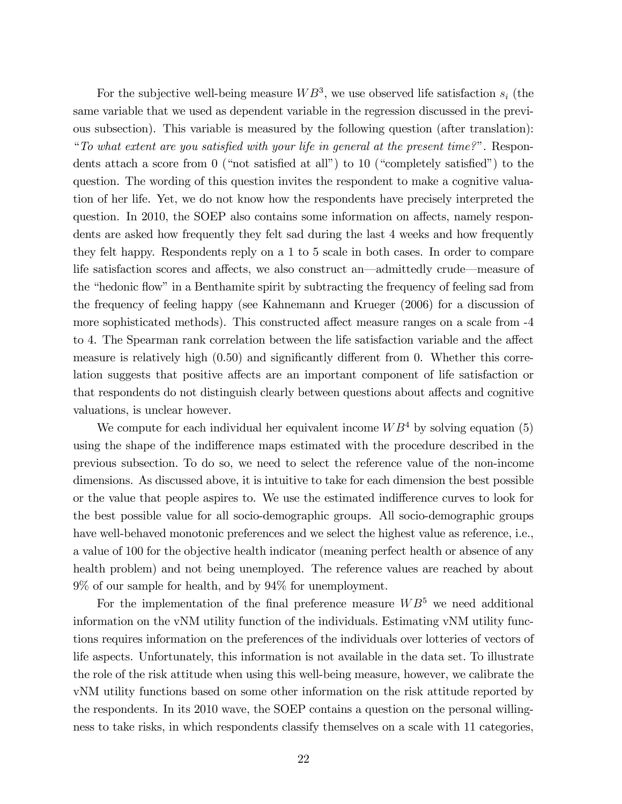For the subjective well-being measure  $WB^3$ , we use observed life satisfaction  $s_i$  (the same variable that we used as dependent variable in the regression discussed in the previous subsection). This variable is measured by the following question (after translation): "To what extent are you satisfied with your life in general at the present time?". Respondents attach a score from 0 ("not satisfied at all") to 10 ("completely satisfied") to the question. The wording of this question invites the respondent to make a cognitive valuation of her life. Yet, we do not know how the respondents have precisely interpreted the question. In 2010, the SOEP also contains some information on affects, namely respondents are asked how frequently they felt sad during the last 4 weeks and how frequently they felt happy. Respondents reply on a 1 to 5 scale in both cases. In order to compare life satisfaction scores and affects, we also construct an—admittedly crude—measure of the "hedonic flow" in a Benthamite spirit by subtracting the frequency of feeling sad from the frequency of feeling happy (see Kahnemann and Krueger (2006) for a discussion of more sophisticated methods). This constructed affect measure ranges on a scale from  $-4$ to 4. The Spearman rank correlation between the life satisfaction variable and the affect measure is relatively high  $(0.50)$  and significantly different from 0. Whether this correlation suggests that positive affects are an important component of life satisfaction or that respondents do not distinguish clearly between questions about affects and cognitive valuations, is unclear however.

We compute for each individual her equivalent income  $WB<sup>4</sup>$  by solving equation (5) using the shape of the indifference maps estimated with the procedure described in the previous subsection. To do so, we need to select the reference value of the non-income dimensions. As discussed above, it is intuitive to take for each dimension the best possible or the value that people aspires to. We use the estimated indifference curves to look for the best possible value for all socio-demographic groups. All socio-demographic groups have well-behaved monotonic preferences and we select the highest value as reference, i.e., a value of 100 for the objective health indicator (meaning perfect health or absence of any health problem) and not being unemployed. The reference values are reached by about 9% of our sample for health, and by 94% for unemployment.

For the implementation of the final preference measure  $WB^5$  we need additional information on the vNM utility function of the individuals. Estimating vNM utility functions requires information on the preferences of the individuals over lotteries of vectors of life aspects. Unfortunately, this information is not available in the data set. To illustrate the role of the risk attitude when using this well-being measure, however, we calibrate the vNM utility functions based on some other information on the risk attitude reported by the respondents. In its 2010 wave, the SOEP contains a question on the personal willingness to take risks, in which respondents classify themselves on a scale with 11 categories,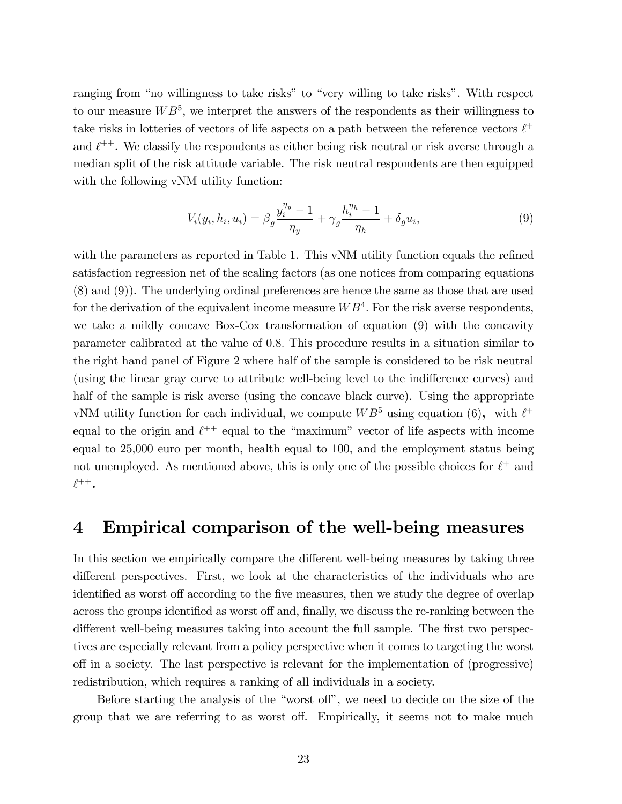ranging from "no willingness to take risks" to "very willing to take risks". With respect to our measure  $WB^{5}$ , we interpret the answers of the respondents as their willingness to take risks in lotteries of vectors of life aspects on a path between the reference vectors  $\ell^+$ and  $\ell^{++}$ . We classify the respondents as either being risk neutral or risk averse through a median split of the risk attitude variable. The risk neutral respondents are then equipped with the following vNM utility function:

$$
V_i(y_i, h_i, u_i) = \beta_g \frac{y_i^{\eta_y} - 1}{\eta_y} + \gamma_g \frac{h_i^{\eta_h} - 1}{\eta_h} + \delta_g u_i,
$$
\n(9)

with the parameters as reported in Table 1. This vNM utility function equals the refined satisfaction regression net of the scaling factors (as one notices from comparing equations (8) and (9)). The underlying ordinal preferences are hence the same as those that are used for the derivation of the equivalent income measure  $WB<sup>4</sup>$ . For the risk averse respondents, we take a mildly concave Box-Cox transformation of equation (9) with the concavity parameter calibrated at the value of 0:8: This procedure results in a situation similar to the right hand panel of Figure 2 where half of the sample is considered to be risk neutral (using the linear gray curve to attribute well-being level to the indifference curves) and half of the sample is risk averse (using the concave black curve). Using the appropriate vNM utility function for each individual, we compute  $WB^5$  using equation (6), with  $\ell^+$ equal to the origin and  $\ell^{++}$  equal to the "maximum" vector of life aspects with income equal to 25,000 euro per month, health equal to 100, and the employment status being not unemployed. As mentioned above, this is only one of the possible choices for  $\ell^+$  and  $\ell^{++}$ .

### 4 Empirical comparison of the well-being measures

In this section we empirically compare the different well-being measures by taking three different perspectives. First, we look at the characteristics of the individuals who are identified as worst off according to the five measures, then we study the degree of overlap across the groups identified as worst off and, finally, we discuss the re-ranking between the different well-being measures taking into account the full sample. The first two perspectives are especially relevant from a policy perspective when it comes to targeting the worst off in a society. The last perspective is relevant for the implementation of (progressive) redistribution, which requires a ranking of all individuals in a society.

Before starting the analysis of the "worst off", we need to decide on the size of the group that we are referring to as worst off. Empirically, it seems not to make much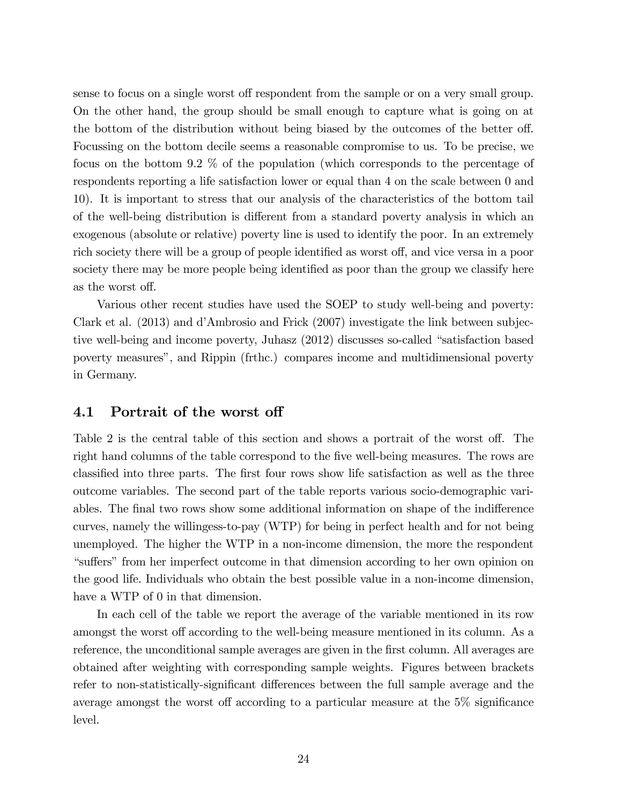sense to focus on a single worst off respondent from the sample or on a very small group. On the other hand, the group should be small enough to capture what is going on at the bottom of the distribution without being biased by the outcomes of the better off. Focussing on the bottom decile seems a reasonable compromise to us. To be precise, we focus on the bottom 9.2 % of the population (which corresponds to the percentage of respondents reporting a life satisfaction lower or equal than 4 on the scale between 0 and 10). It is important to stress that our analysis of the characteristics of the bottom tail of the well-being distribution is different from a standard poverty analysis in which an exogenous (absolute or relative) poverty line is used to identify the poor. In an extremely rich society there will be a group of people identified as worst off, and vice versa in a poor society there may be more people being identified as poor than the group we classify here as the worst off.

Various other recent studies have used the SOEP to study well-being and poverty: Clark et al. (2013) and díAmbrosio and Frick (2007) investigate the link between subjective well-being and income poverty, Juhasz  $(2012)$  discusses so-called "satisfaction based" poverty measuresî, and Rippin (frthc.) compares income and multidimensional poverty in Germany.

### 4.1 Portrait of the worst off

Table 2 is the central table of this section and shows a portrait of the worst off. The right hand columns of the table correspond to the five well-being measures. The rows are classified into three parts. The first four rows show life satisfaction as well as the three outcome variables. The second part of the table reports various socio-demographic variables. The final two rows show some additional information on shape of the indifference curves, namely the willingess-to-pay (WTP) for being in perfect health and for not being unemployed. The higher the WTP in a non-income dimension, the more the respondent ìsu§ersî from her imperfect outcome in that dimension according to her own opinion on the good life. Individuals who obtain the best possible value in a non-income dimension, have a WTP of 0 in that dimension.

In each cell of the table we report the average of the variable mentioned in its row amongst the worst off according to the well-being measure mentioned in its column. As a reference, the unconditional sample averages are given in the first column. All averages are obtained after weighting with corresponding sample weights. Figures between brackets refer to non-statistically-significant differences between the full sample average and the average amongst the worst off according to a particular measure at the  $5\%$  significance level.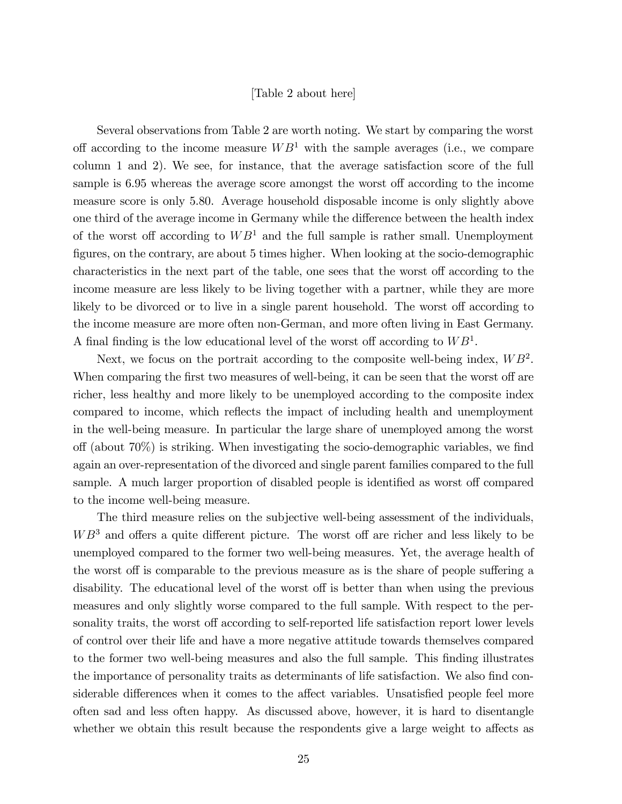#### [Table 2 about here]

Several observations from Table 2 are worth noting. We start by comparing the worst off according to the income measure  $WB<sup>1</sup>$  with the sample averages (i.e., we compare column 1 and 2). We see, for instance, that the average satisfaction score of the full sample is 6.95 whereas the average score amongst the worst off according to the income measure score is only 5.80. Average household disposable income is only slightly above one third of the average income in Germany while the difference between the health index of the worst off according to  $WB<sup>1</sup>$  and the full sample is rather small. Unemployment figures, on the contrary, are about 5 times higher. When looking at the socio-demographic characteristics in the next part of the table, one sees that the worst off according to the income measure are less likely to be living together with a partner, while they are more likely to be divorced or to live in a single parent household. The worst off according to the income measure are more often non-German, and more often living in East Germany. A final finding is the low educational level of the worst off according to  $WB<sup>1</sup>$ .

Next, we focus on the portrait according to the composite well-being index,  $WB^2$ . When comparing the first two measures of well-being, it can be seen that the worst off are richer, less healthy and more likely to be unemployed according to the composite index compared to income, which reflects the impact of including health and unemployment in the well-being measure. In particular the large share of unemployed among the worst off (about  $70\%$ ) is striking. When investigating the socio-demographic variables, we find again an over-representation of the divorced and single parent families compared to the full sample. A much larger proportion of disabled people is identified as worst off compared to the income well-being measure.

The third measure relies on the subjective well-being assessment of the individuals,  $WB^3$  and offers a quite different picture. The worst off are richer and less likely to be unemployed compared to the former two well-being measures. Yet, the average health of the worst off is comparable to the previous measure as is the share of people suffering a disability. The educational level of the worst off is better than when using the previous measures and only slightly worse compared to the full sample. With respect to the personality traits, the worst off according to self-reported life satisfaction report lower levels of control over their life and have a more negative attitude towards themselves compared to the former two well-being measures and also the full sample. This finding illustrates the importance of personality traits as determinants of life satisfaction. We also find considerable differences when it comes to the affect variables. Unsatisfied people feel more often sad and less often happy. As discussed above, however, it is hard to disentangle whether we obtain this result because the respondents give a large weight to affects as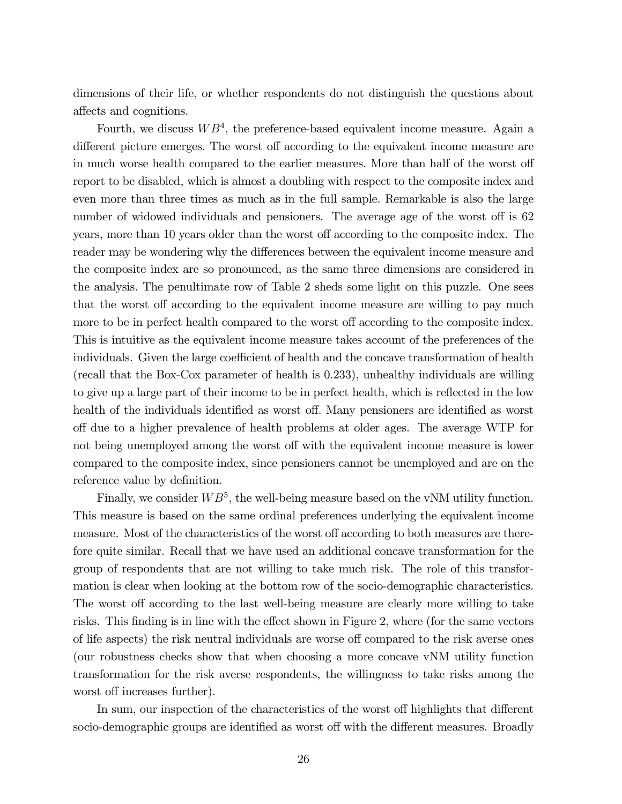dimensions of their life, or whether respondents do not distinguish the questions about affects and cognitions.

Fourth, we discuss  $WB<sup>4</sup>$ , the preference-based equivalent income measure. Again a different picture emerges. The worst off according to the equivalent income measure are in much worse health compared to the earlier measures. More than half of the worst off report to be disabled, which is almost a doubling with respect to the composite index and even more than three times as much as in the full sample. Remarkable is also the large number of widowed individuals and pensioners. The average age of the worst off is 62 years, more than 10 years older than the worst off according to the composite index. The reader may be wondering why the differences between the equivalent income measure and the composite index are so pronounced, as the same three dimensions are considered in the analysis. The penultimate row of Table 2 sheds some light on this puzzle. One sees that the worst off according to the equivalent income measure are willing to pay much more to be in perfect health compared to the worst off according to the composite index. This is intuitive as the equivalent income measure takes account of the preferences of the individuals. Given the large coefficient of health and the concave transformation of health (recall that the Box-Cox parameter of health is 0.233), unhealthy individuals are willing to give up a large part of their income to be in perfect health, which is reflected in the low health of the individuals identified as worst off. Many pensioners are identified as worst o§ due to a higher prevalence of health problems at older ages. The average WTP for not being unemployed among the worst off with the equivalent income measure is lower compared to the composite index, since pensioners cannot be unemployed and are on the reference value by definition.

Finally, we consider  $WB^5$ , the well-being measure based on the vNM utility function. This measure is based on the same ordinal preferences underlying the equivalent income measure. Most of the characteristics of the worst off according to both measures are therefore quite similar. Recall that we have used an additional concave transformation for the group of respondents that are not willing to take much risk. The role of this transformation is clear when looking at the bottom row of the socio-demographic characteristics. The worst off according to the last well-being measure are clearly more willing to take risks. This finding is in line with the effect shown in Figure 2, where (for the same vectors of life aspects) the risk neutral individuals are worse off compared to the risk averse ones (our robustness checks show that when choosing a more concave vNM utility function transformation for the risk averse respondents, the willingness to take risks among the worst off increases further).

In sum, our inspection of the characteristics of the worst off highlights that different socio-demographic groups are identified as worst off with the different measures. Broadly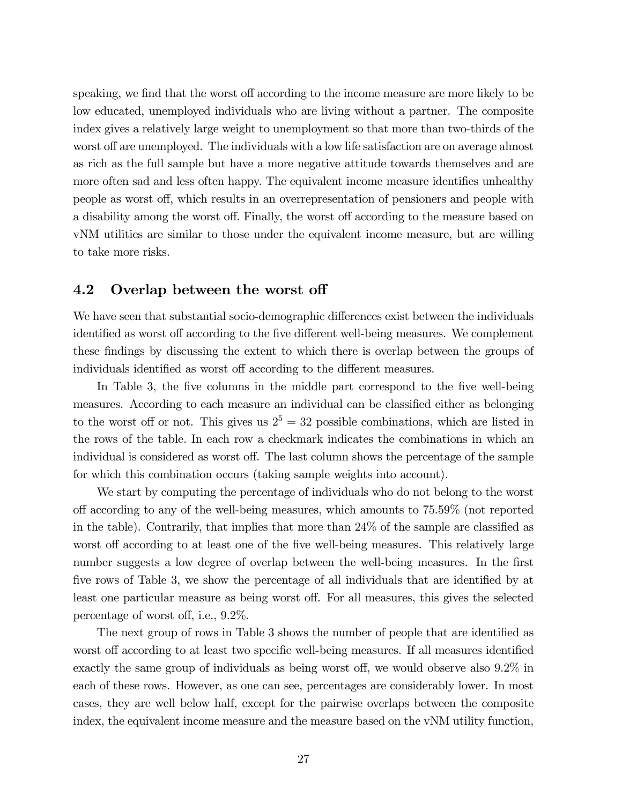speaking, we find that the worst off according to the income measure are more likely to be low educated, unemployed individuals who are living without a partner. The composite index gives a relatively large weight to unemployment so that more than two-thirds of the worst off are unemployed. The individuals with a low life satisfaction are on average almost as rich as the full sample but have a more negative attitude towards themselves and are more often sad and less often happy. The equivalent income measure identifies unhealthy people as worst off, which results in an overrepresentation of pensioners and people with a disability among the worst off. Finally, the worst off according to the measure based on vNM utilities are similar to those under the equivalent income measure, but are willing to take more risks.

### 4.2 Overlap between the worst off

We have seen that substantial socio-demographic differences exist between the individuals identified as worst off according to the five different well-being measures. We complement these findings by discussing the extent to which there is overlap between the groups of individuals identified as worst off according to the different measures.

In Table 3, the five columns in the middle part correspond to the five well-being measures. According to each measure an individual can be classified either as belonging to the worst off or not. This gives us  $2^5 = 32$  possible combinations, which are listed in the rows of the table. In each row a checkmark indicates the combinations in which an individual is considered as worst off. The last column shows the percentage of the sample for which this combination occurs (taking sample weights into account).

We start by computing the percentage of individuals who do not belong to the worst o§ according to any of the well-being measures, which amounts to 75.59% (not reported in the table). Contrarily, that implies that more than  $24\%$  of the sample are classified as worst off according to at least one of the five well-being measures. This relatively large number suggests a low degree of overlap between the well-being measures. In the first five rows of Table 3, we show the percentage of all individuals that are identified by at least one particular measure as being worst off. For all measures, this gives the selected percentage of worst off, i.e.,  $9.2\%$ .

The next group of rows in Table 3 shows the number of people that are identified as worst off according to at least two specific well-being measures. If all measures identified exactly the same group of individuals as being worst off, we would observe also  $9.2\%$  in each of these rows. However, as one can see, percentages are considerably lower. In most cases, they are well below half, except for the pairwise overlaps between the composite index, the equivalent income measure and the measure based on the vNM utility function,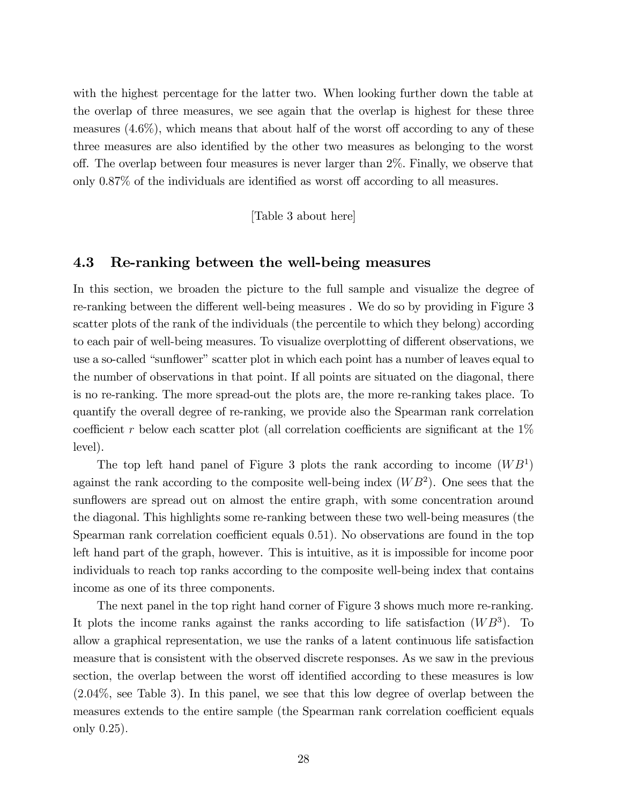with the highest percentage for the latter two. When looking further down the table at the overlap of three measures, we see again that the overlap is highest for these three measures  $(4.6\%)$ , which means that about half of the worst off according to any of these three measures are also identified by the other two measures as belonging to the worst o§. The overlap between four measures is never larger than 2%. Finally, we observe that only  $0.87\%$  of the individuals are identified as worst off according to all measures.

[Table 3 about here]

#### 4.3 Re-ranking between the well-being measures

In this section, we broaden the picture to the full sample and visualize the degree of re-ranking between the different well-being measures. We do so by providing in Figure 3 scatter plots of the rank of the individuals (the percentile to which they belong) according to each pair of well-being measures. To visualize overplotting of different observations, we use a so-called "sunflower" scatter plot in which each point has a number of leaves equal to the number of observations in that point. If all points are situated on the diagonal, there is no re-ranking. The more spread-out the plots are, the more re-ranking takes place. To quantify the overall degree of re-ranking, we provide also the Spearman rank correlation coefficient r below each scatter plot (all correlation coefficients are significant at the  $1\%$ level).

The top left hand panel of Figure 3 plots the rank according to income  $(WB<sup>1</sup>)$ against the rank according to the composite well-being index  $(WB<sup>2</sup>)$ . One sees that the sunflowers are spread out on almost the entire graph, with some concentration around the diagonal. This highlights some re-ranking between these two well-being measures (the Spearman rank correlation coefficient equals  $0.51$ ). No observations are found in the top left hand part of the graph, however. This is intuitive, as it is impossible for income poor individuals to reach top ranks according to the composite well-being index that contains income as one of its three components.

The next panel in the top right hand corner of Figure 3 shows much more re-ranking. It plots the income ranks against the ranks according to life satisfaction  $(WB<sup>3</sup>)$ . To allow a graphical representation, we use the ranks of a latent continuous life satisfaction measure that is consistent with the observed discrete responses. As we saw in the previous section, the overlap between the worst off identified according to these measures is low (2:04%, see Table 3). In this panel, we see that this low degree of overlap between the measures extends to the entire sample (the Spearman rank correlation coefficient equals only 0:25):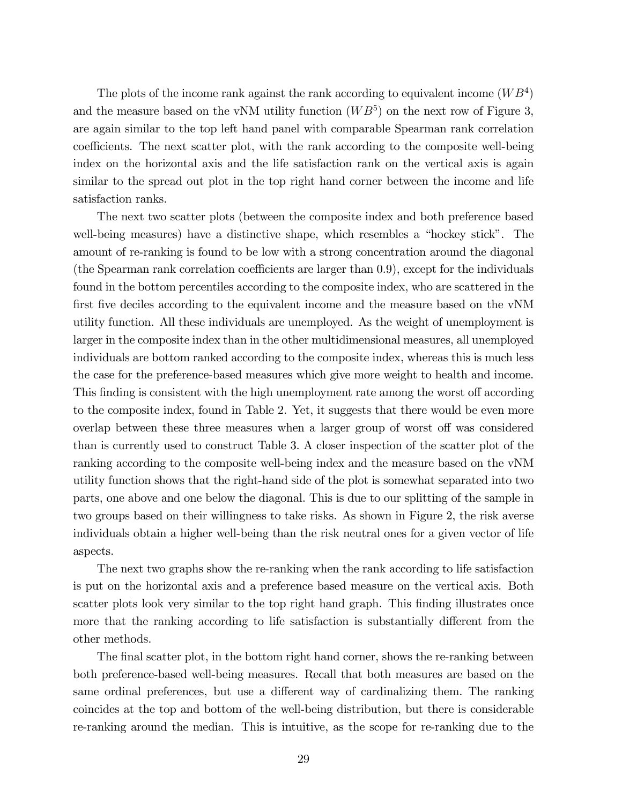The plots of the income rank against the rank according to equivalent income  $(WB<sup>4</sup>)$ and the measure based on the vNM utility function  $(WB<sup>5</sup>)$  on the next row of Figure 3, are again similar to the top left hand panel with comparable Spearman rank correlation coefficients. The next scatter plot, with the rank according to the composite well-being index on the horizontal axis and the life satisfaction rank on the vertical axis is again similar to the spread out plot in the top right hand corner between the income and life satisfaction ranks.

The next two scatter plots (between the composite index and both preference based well-being measures) have a distinctive shape, which resembles a "hockey stick". The amount of re-ranking is found to be low with a strong concentration around the diagonal (the Spearman rank correlation coefficients are larger than  $(0.9)$ , except for the individuals found in the bottom percentiles according to the composite index, who are scattered in the first five deciles according to the equivalent income and the measure based on the vNM utility function. All these individuals are unemployed. As the weight of unemployment is larger in the composite index than in the other multidimensional measures, all unemployed individuals are bottom ranked according to the composite index, whereas this is much less the case for the preference-based measures which give more weight to health and income. This finding is consistent with the high unemployment rate among the worst off according to the composite index, found in Table 2. Yet, it suggests that there would be even more overlap between these three measures when a larger group of worst off was considered than is currently used to construct Table 3. A closer inspection of the scatter plot of the ranking according to the composite well-being index and the measure based on the vNM utility function shows that the right-hand side of the plot is somewhat separated into two parts, one above and one below the diagonal. This is due to our splitting of the sample in two groups based on their willingness to take risks. As shown in Figure 2, the risk averse individuals obtain a higher well-being than the risk neutral ones for a given vector of life aspects.

The next two graphs show the re-ranking when the rank according to life satisfaction is put on the horizontal axis and a preference based measure on the vertical axis. Both scatter plots look very similar to the top right hand graph. This finding illustrates once more that the ranking according to life satisfaction is substantially different from the other methods.

The final scatter plot, in the bottom right hand corner, shows the re-ranking between both preference-based well-being measures. Recall that both measures are based on the same ordinal preferences, but use a different way of cardinalizing them. The ranking coincides at the top and bottom of the well-being distribution, but there is considerable re-ranking around the median. This is intuitive, as the scope for re-ranking due to the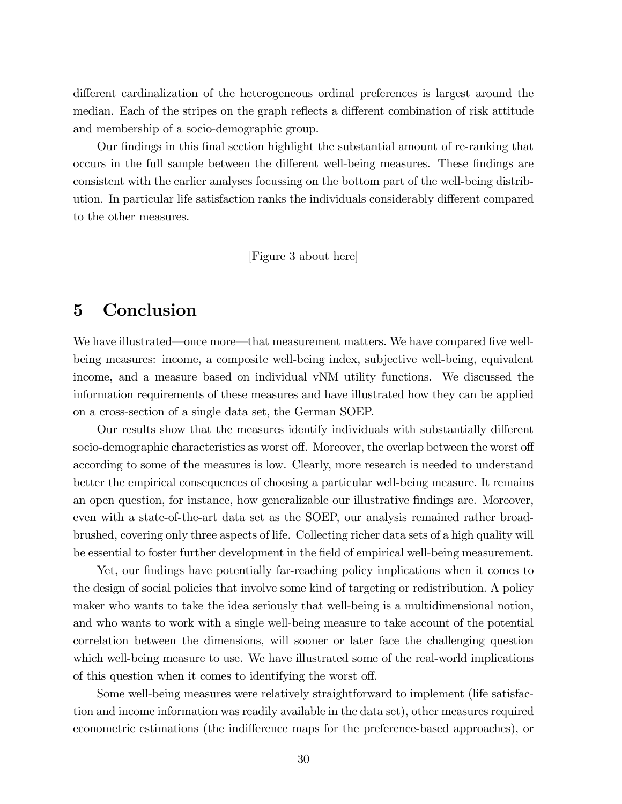different cardinalization of the heterogeneous ordinal preferences is largest around the median. Each of the stripes on the graph reflects a different combination of risk attitude and membership of a socio-demographic group.

Our findings in this final section highlight the substantial amount of re-ranking that occurs in the full sample between the different well-being measures. These findings are consistent with the earlier analyses focussing on the bottom part of the well-being distribution. In particular life satisfaction ranks the individuals considerably different compared to the other measures.

[Figure 3 about here]

## 5 Conclusion

We have illustrated—once more—that measurement matters. We have compared five wellbeing measures: income, a composite well-being index, subjective well-being, equivalent income, and a measure based on individual vNM utility functions. We discussed the information requirements of these measures and have illustrated how they can be applied on a cross-section of a single data set, the German SOEP.

Our results show that the measures identify individuals with substantially different socio-demographic characteristics as worst off. Moreover, the overlap between the worst off according to some of the measures is low. Clearly, more research is needed to understand better the empirical consequences of choosing a particular well-being measure. It remains an open question, for instance, how generalizable our illustrative Öndings are. Moreover, even with a state-of-the-art data set as the SOEP, our analysis remained rather broadbrushed, covering only three aspects of life. Collecting richer data sets of a high quality will be essential to foster further development in the Öeld of empirical well-being measurement.

Yet, our findings have potentially far-reaching policy implications when it comes to the design of social policies that involve some kind of targeting or redistribution. A policy maker who wants to take the idea seriously that well-being is a multidimensional notion, and who wants to work with a single well-being measure to take account of the potential correlation between the dimensions, will sooner or later face the challenging question which well-being measure to use. We have illustrated some of the real-world implications of this question when it comes to identifying the worst off.

Some well-being measures were relatively straightforward to implement (life satisfaction and income information was readily available in the data set), other measures required econometric estimations (the indifference maps for the preference-based approaches), or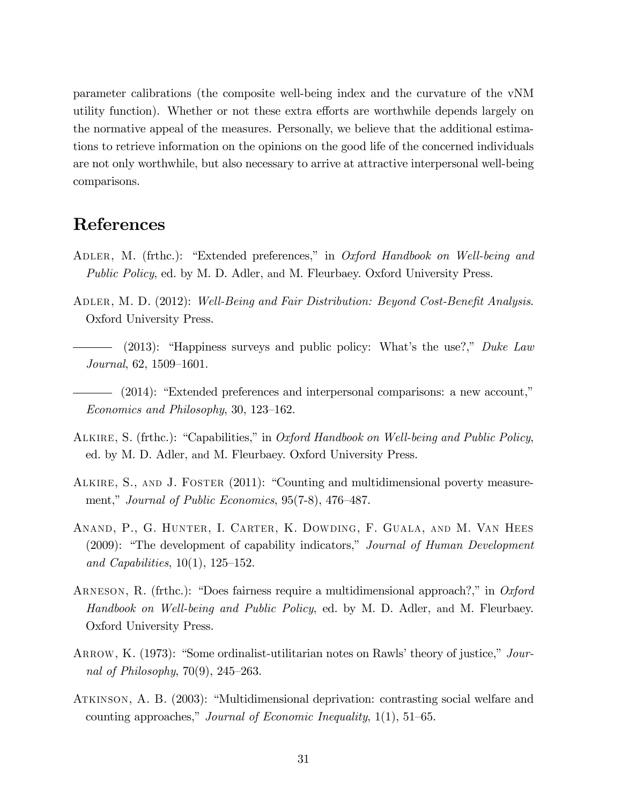parameter calibrations (the composite well-being index and the curvature of the vNM utility function). Whether or not these extra efforts are worthwhile depends largely on the normative appeal of the measures. Personally, we believe that the additional estimations to retrieve information on the opinions on the good life of the concerned individuals are not only worthwhile, but also necessary to arrive at attractive interpersonal well-being comparisons.

## References

- ADLER, M. (frthc.): "Extended preferences," in Oxford Handbook on Well-being and Public Policy, ed. by M. D. Adler, and M. Fleurbaey. Oxford University Press.
- ADLER, M. D. (2012): Well-Being and Fair Distribution: Beyond Cost-Benefit Analysis. Oxford University Press.
	- $-$  (2013): "Happiness surveys and public policy: What's the use?," Duke Law  $Journal, 62, 1509-1601.$
- $-$  (2014): "Extended preferences and interpersonal comparisons: a new account," Economics and Philosophy, 30, 123–162.
- ALKIRE, S. (frthc.): "Capabilities," in *Oxford Handbook on Well-being and Public Policy*, ed. by M. D. Adler, and M. Fleurbaey. Oxford University Press.
- ALKIRE, S., AND J. FOSTER (2011): "Counting and multidimensional poverty measurement," Journal of Public Economics,  $95(7-8)$ ,  $476-487$ .
- Anand, P., G. Hunter, I. Carter, K. Dowding, F. Guala, and M. Van Hees  $(2009)$ : "The development of capability indicators," Journal of Human Development and Capabilities,  $10(1)$ ,  $125-152$ .
- ARNESON, R. (frthc.): "Does fairness require a multidimensional approach?," in Oxford Handbook on Well-being and Public Policy, ed. by M. D. Adler, and M. Fleurbaey. Oxford University Press.
- ARROW, K.  $(1973)$ : "Some ordinalist-utilitarian notes on Rawls' theory of justice," Journal of Philosophy,  $70(9)$ ,  $245-263$ .
- ATKINSON, A. B. (2003): "Multidimensional deprivation: contrasting social welfare and counting approaches," Journal of Economic Inequality,  $1(1)$ ,  $51-65$ .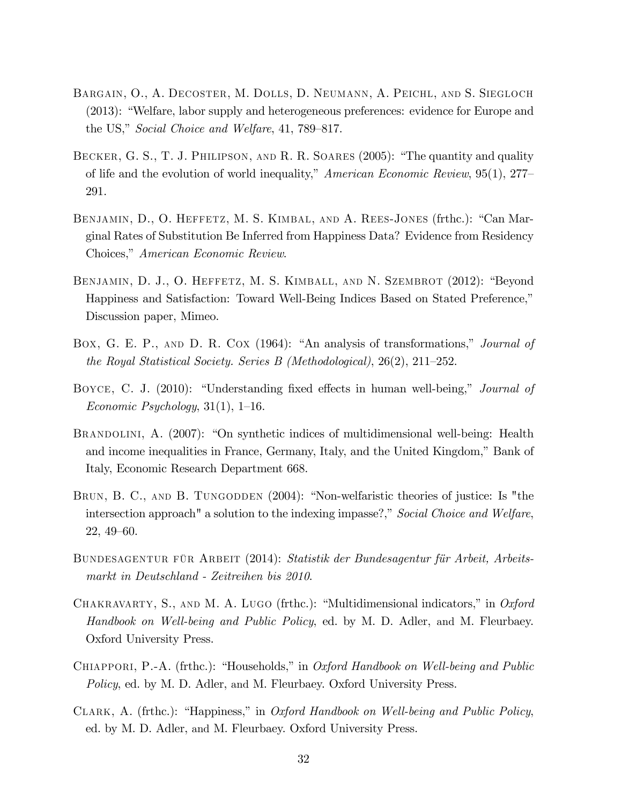- Bargain, O., A. Decoster, M. Dolls, D. Neumann, A. Peichl, and S. Siegloch  $(2013)$ : "Welfare, labor supply and heterogeneous preferences: evidence for Europe and the US," Social Choice and Welfare, 41, 789–817.
- BECKER, G. S., T. J. PHILIPSON, AND R. R. SOARES (2005): "The quantity and quality of life and the evolution of world inequality,"  $American Economic Review, 95(1), 277–$ 291.
- BENJAMIN, D., O. HEFFETZ, M. S. KIMBAL, AND A. REES-JONES (frthc.): "Can Marginal Rates of Substitution Be Inferred from Happiness Data? Evidence from Residency Choices," American Economic Review.
- BENJAMIN, D. J., O. HEFFETZ, M. S. KIMBALL, AND N. SZEMBROT (2012): "Beyond Happiness and Satisfaction: Toward Well-Being Indices Based on Stated Preference," Discussion paper, Mimeo.
- Box, G. E. P., AND D. R. COX (1964): "An analysis of transformations," *Journal of* the Royal Statistical Society. Series B (Methodological),  $26(2)$ ,  $211-252$ .
- BOYCE, C. J. (2010): "Understanding fixed effects in human well-being," *Journal of* Economic Psychology,  $31(1)$ ,  $1-16$ .
- BRANDOLINI, A. (2007): "On synthetic indices of multidimensional well-being: Health and income inequalities in France, Germany, Italy, and the United Kingdom," Bank of Italy, Economic Research Department 668.
- BRUN, B. C., AND B. TUNGODDEN (2004): "Non-welfaristic theories of justice: Is "the intersection approach" a solution to the indexing impasse?," Social Choice and Welfare,  $22, 49–60.$
- BUNDESAGENTUR FÜR ARBEIT (2014): Statistik der Bundesagentur für Arbeit, Arbeitsmarkt in Deutschland - Zeitreihen bis 2010.
- CHAKRAVARTY, S., AND M. A. LUGO (frthc.): "Multidimensional indicators," in Oxford Handbook on Well-being and Public Policy, ed. by M. D. Adler, and M. Fleurbaey. Oxford University Press.
- CHIAPPORI, P.-A. (frthc.): "Households," in *Oxford Handbook on Well-being and Public* Policy, ed. by M. D. Adler, and M. Fleurbaey. Oxford University Press.
- CLARK, A. (frthc.): "Happiness," in Oxford Handbook on Well-being and Public Policy, ed. by M. D. Adler, and M. Fleurbaey. Oxford University Press.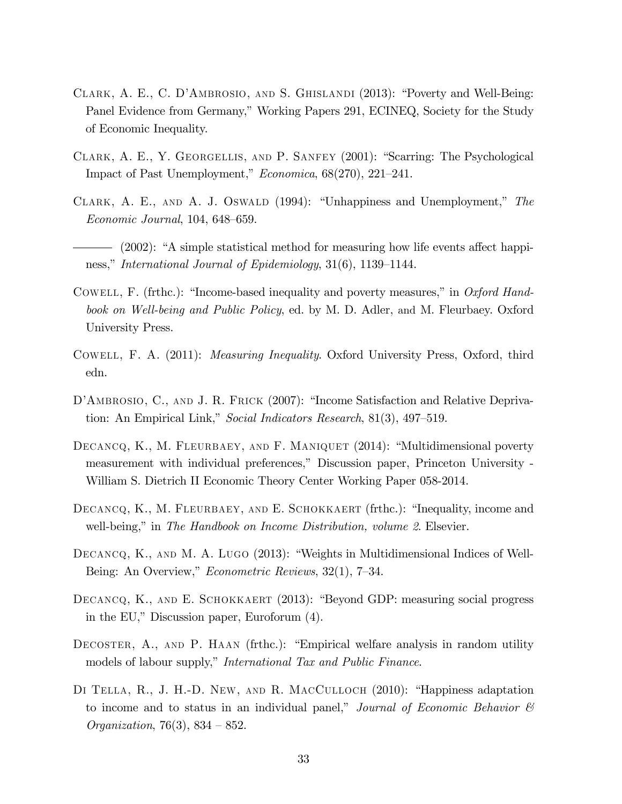- CLARK, A. E., C. D'AMBROSIO, AND S. GHISLANDI  $(2013)$ : "Poverty and Well-Being: Panel Evidence from Germany," Working Papers 291, ECINEQ, Society for the Study of Economic Inequality.
- CLARK, A. E., Y. GEORGELLIS, AND P. SANFEY (2001): "Scarring: The Psychological Impact of Past Unemployment,"  $Economica$ , 68(270), 221–241.
- CLARK, A. E., AND A. J. OSWALD (1994): "Unhappiness and Unemployment," The  $Economic\ Journal, 104, 648–659.$
- $-$  (2002): "A simple statistical method for measuring how life events affect happiness," International Journal of Epidemiology,  $31(6)$ , 1139–1144.
- COWELL, F. (frthc.): "Income-based inequality and poverty measures," in Oxford Handbook on Well-being and Public Policy, ed. by M. D. Adler, and M. Fleurbaey. Oxford University Press.
- Cowell, F. A. (2011): Measuring Inequality. Oxford University Press, Oxford, third edn.
- D'AMBROSIO, C., AND J. R. FRICK (2007): "Income Satisfaction and Relative Deprivation: An Empirical Link," Social Indicators Research,  $81(3)$ ,  $497-519$ .
- DECANCQ, K., M. FLEURBAEY, AND F. MANIQUET (2014): "Multidimensional poverty measurement with individual preferences," Discussion paper, Princeton University -William S. Dietrich II Economic Theory Center Working Paper 058-2014.
- DECANCQ, K., M. FLEURBAEY, AND E. SCHOKKAERT (frthc.): "Inequality, income and well-being," in The Handbook on Income Distribution, volume 2. Elsevier.
- DECANCQ, K., AND M. A. LUGO  $(2013)$ : "Weights in Multidimensional Indices of Well-Being: An Overview,"  $Econometric$  Reviews, 32(1), 7–34.
- DECANCQ, K., AND E. SCHOKKAERT (2013): "Beyond GDP: measuring social progress in the EU," Discussion paper, Euroforum  $(4)$ .
- DECOSTER,  $A_{.}$ , AND P. HAAN (frthc.): "Empirical welfare analysis in random utility models of labour supply," International Tax and Public Finance.
- DI TELLA, R., J. H.-D. NEW, AND R. MACCULLOCH  $(2010)$ : "Happiness adaptation to income and to status in an individual panel," Journal of Economic Behavior  $\mathcal C$ *Organization*, 76(3), 834 – 852.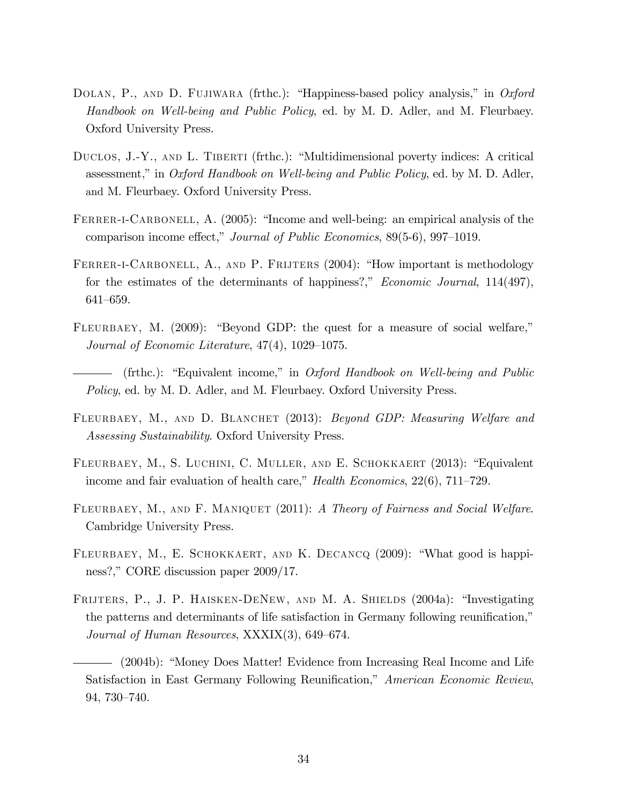- DOLAN, P., AND D. FUJIWARA (frthc.): "Happiness-based policy analysis," in Oxford Handbook on Well-being and Public Policy, ed. by M. D. Adler, and M. Fleurbaey. Oxford University Press.
- DUCLOS,  $J.-Y.$ , AND L. TIBERTI (frthc.): "Multidimensional poverty indices: A critical assessment," in Oxford Handbook on Well-being and Public Policy, ed. by M. D. Adler, and M. Fleurbaey. Oxford University Press.
- FERRER-I-CARBONELL, A.  $(2005)$ : "Income and well-being: an empirical analysis of the comparison income effect," Journal of Public Economics,  $89(5-6)$ , 997-1019.
- FERRER-I-CARBONELL, A., AND P. FRIJTERS (2004): "How important is methodology for the estimates of the determinants of happiness?," *Economic Journal*,  $114(497)$ , 641-659.
- FLEURBAEY, M.  $(2009)$ : "Beyond GDP: the quest for a measure of social welfare," Journal of Economic Literature,  $47(4)$ ,  $1029-1075$ .
- (frthc.): "Equivalent income," in Oxford Handbook on Well-being and Public Policy, ed. by M. D. Adler, and M. Fleurbaey. Oxford University Press.
- FLEURBAEY, M., AND D. BLANCHET (2013): Beyond GDP: Measuring Welfare and Assessing Sustainability. Oxford University Press.
- FLEURBAEY, M., S. LUCHINI, C. MULLER, AND E. SCHOKKAERT (2013): "Equivalent income and fair evaluation of health care," Health Economics,  $22(6)$ ,  $711-729$ .
- FLEURBAEY, M., AND F. MANIQUET (2011): A Theory of Fairness and Social Welfare. Cambridge University Press.
- FLEURBAEY, M., E. SCHOKKAERT, AND K. DECANCQ (2009): "What good is happiness?," CORE discussion paper 2009/17.
- FRIJTERS, P., J. P. HAISKEN-DENEW, AND M. A. SHIELDS (2004a): "Investigating the patterns and determinants of life satisfaction in Germany following reunification," Journal of Human Resources,  $XXXIX(3)$ , 649–674.

<sup>- (2004</sup>b): "Money Does Matter! Evidence from Increasing Real Income and Life Satisfaction in East Germany Following Reunification," American Economic Review, 94, 730-740.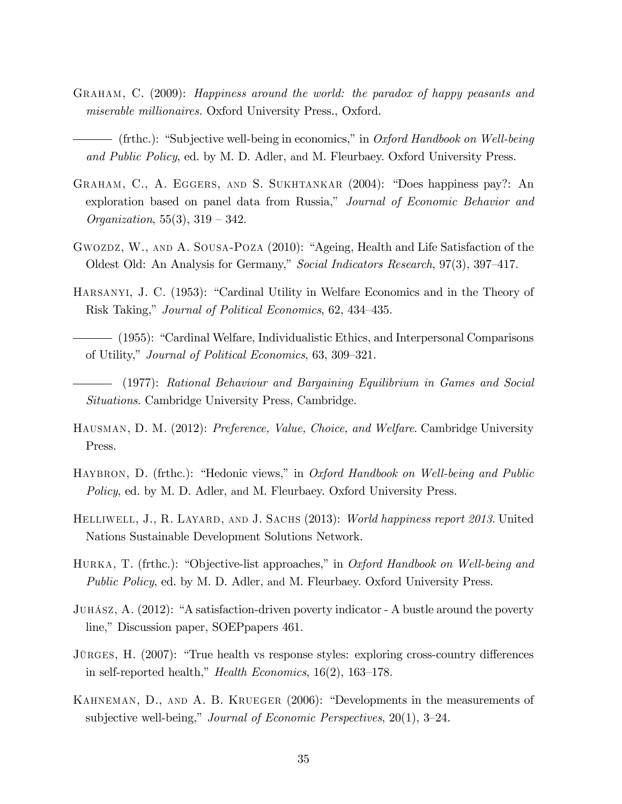- Graham, C. (2009): Happiness around the world: the paradox of happy peasants and miserable millionaires. Oxford University Press., Oxford.
- $-$  (frthc.): "Subjective well-being in economics," in Oxford Handbook on Well-being and Public Policy, ed. by M. D. Adler, and M. Fleurbaey. Oxford University Press.
- GRAHAM, C., A. EGGERS, AND S. SUKHTANKAR (2004): "Does happiness pay?: An exploration based on panel data from Russia," Journal of Economic Behavior and *Organization*,  $55(3)$ ,  $319 - 342$ .
- GWOZDZ, W., AND A. SOUSA-POZA (2010): "Ageing, Health and Life Satisfaction of the Oldest Old: An Analysis for Germany," Social Indicators Research, 97(3), 397–417.
- HARSANYI, J. C. (1953): "Cardinal Utility in Welfare Economics and in the Theory of Risk Taking," Journal of Political Economics, 62, 434–435.
- (1955): ìCardinal Welfare, Individualistic Ethics, and Interpersonal Comparisons of Utility," Journal of Political Economics, 63, 309–321.
- (1977): Rational Behaviour and Bargaining Equilibrium in Games and Social Situations. Cambridge University Press, Cambridge.
- HAUSMAN, D. M. (2012): Preference, Value, Choice, and Welfare. Cambridge University Press.
- HAYBRON, D. (frthc.): "Hedonic views," in *Oxford Handbook on Well-being and Public* Policy, ed. by M. D. Adler, and M. Fleurbaey. Oxford University Press.
- HELLIWELL, J., R. LAYARD, AND J. SACHS (2013): World happiness report 2013. United Nations Sustainable Development Solutions Network.
- HURKA, T. (frthc.): "Objective-list approaches," in Oxford Handbook on Well-being and Public Policy, ed. by M. D. Adler, and M. Fleurbaey. Oxford University Press.
- JUHÁSZ, A.  $(2012)$ : "A satisfaction-driven poverty indicator A bustle around the poverty line," Discussion paper, SOEPpapers 461.
- JÜRGES, H.  $(2007)$ : "True health vs response styles: exploring cross-country differences in self-reported health," *Health Economics*,  $16(2)$ ,  $163-178$ .
- KAHNEMAN, D., AND A. B. KRUEGER (2006): "Developments in the measurements of subjective well-being," Journal of Economic Perspectives,  $20(1)$ ,  $3-24$ .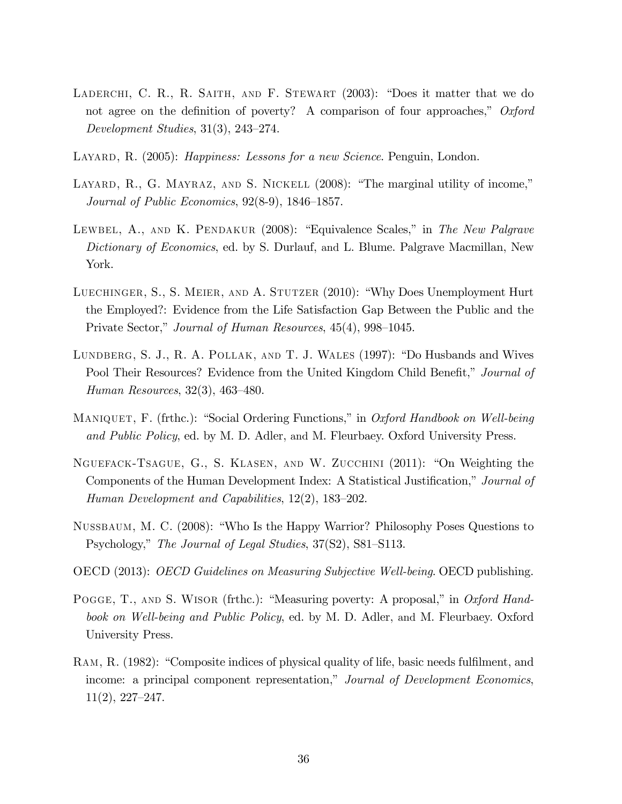- LADERCHI, C. R., R. SAITH, AND F. STEWART  $(2003)$ : "Does it matter that we do not agree on the definition of poverty? A comparison of four approaches,"  $Oxford$ Development Studies,  $31(3)$ ,  $243-274$ .
- LAYARD, R. (2005): *Happiness: Lessons for a new Science*. Penguin, London.
- LAYARD, R., G. MAYRAZ, AND S. NICKELL  $(2008)$ : "The marginal utility of income," Journal of Public Economics,  $92(8-9)$ ,  $1846-1857$ .
- LEWBEL, A., AND K. PENDAKUR (2008): "Equivalence Scales," in The New Palgrave Dictionary of Economics, ed. by S. Durlauf, and L. Blume. Palgrave Macmillan, New York.
- LUECHINGER, S., S. MEIER, AND A. STUTZER (2010): "Why Does Unemployment Hurt the Employed?: Evidence from the Life Satisfaction Gap Between the Public and the Private Sector," Journal of Human Resources, 45(4), 998–1045.
- LUNDBERG, S. J., R. A. POLLAK, AND T. J. WALES (1997): "Do Husbands and Wives Pool Their Resources? Evidence from the United Kingdom Child Benefit," Journal of Human Resources,  $32(3)$ ,  $463-480$ .
- MANIQUET, F. (frthc.): "Social Ordering Functions," in Oxford Handbook on Well-being and Public Policy, ed. by M. D. Adler, and M. Fleurbaey. Oxford University Press.
- NGUEFACK-TSAGUE, G., S. KLASEN, AND W. ZUCCHINI (2011): "On Weighting the Components of the Human Development Index: A Statistical Justification," Journal of Human Development and Capabilities,  $12(2)$ ,  $183-202$ .
- NUSSBAUM, M. C. (2008): "Who Is the Happy Warrior? Philosophy Poses Questions to Psychology," The Journal of Legal Studies, 37(S2), S81–S113.
- OECD (2013): OECD Guidelines on Measuring Subjective Well-being. OECD publishing.
- POGGE, T., AND S. WISOR (frthc.): "Measuring poverty: A proposal," in Oxford Handbook on Well-being and Public Policy, ed. by M. D. Adler, and M. Fleurbaey. Oxford University Press.
- RAM, R. (1982): "Composite indices of physical quality of life, basic needs fulfilment, and income: a principal component representation," Journal of Development Economics,  $11(2), 227-247.$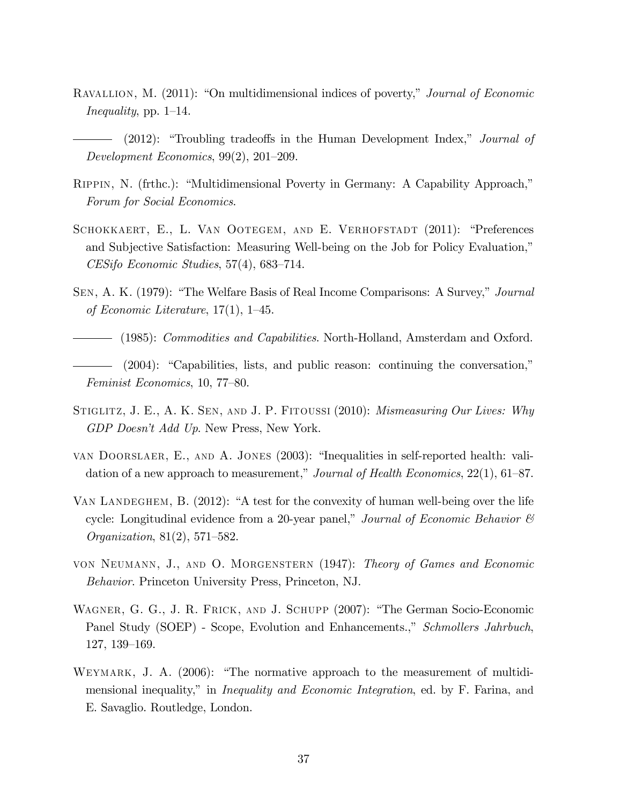- RAVALLION, M. (2011): "On multidimensional indices of poverty," Journal of Economic Inequality, pp. 1–14.
- $(2012)$ : "Troubling tradeoffs in the Human Development Index," Journal of Development Economics,  $99(2)$ ,  $201-209$ .
- RIPPIN, N. (frthc.): "Multidimensional Poverty in Germany: A Capability Approach," Forum for Social Economics.
- SCHOKKAERT, E., L. VAN OOTEGEM, AND E. VERHOFSTADT (2011): "Preferences and Subjective Satisfaction: Measuring Well-being on the Job for Policy Evaluation,"  $CESifo Economic Studies, 57(4), 683-714.$
- SEN, A. K. (1979): "The Welfare Basis of Real Income Comparisons: A Survey," Journal of Economic Literature,  $17(1)$ ,  $1-45$ .
- (1985): Commodities and Capabilities. North-Holland, Amsterdam and Oxford.
- $(2004)$ : "Capabilities, lists, and public reason: continuing the conversation," Feminist Economics, 10, 77–80.
- STIGLITZ, J. E., A. K. SEN, AND J. P. FITOUSSI (2010): *Mismeasuring Our Lives: Why* GDP Doesn't Add Up. New Press, New York.
- van DOORSLAER, E., AND A. JONES (2003): "Inequalities in self-reported health: validation of a new approach to measurement," Journal of Health Economics,  $22(1)$ ,  $61-87$ .
- VAN LANDEGHEM, B.  $(2012)$ : "A test for the convexity of human well-being over the life cycle: Longitudinal evidence from a 20-year panel," Journal of Economic Behavior  $\mathcal{C}$ *Organization*,  $81(2)$ ,  $571-582$ .
- von Neumann, J., and O. Morgenstern (1947): Theory of Games and Economic Behavior. Princeton University Press, Princeton, NJ.
- WAGNER, G. G., J. R. FRICK, AND J. SCHUPP (2007): "The German Socio-Economic Panel Study (SOEP) - Scope, Evolution and Enhancements.," Schmollers Jahrbuch,  $127, 139-169.$
- WEYMARK, J. A.  $(2006)$ : "The normative approach to the measurement of multidimensional inequality," in *Inequality and Economic Integration*, ed. by F. Farina, and E. Savaglio. Routledge, London.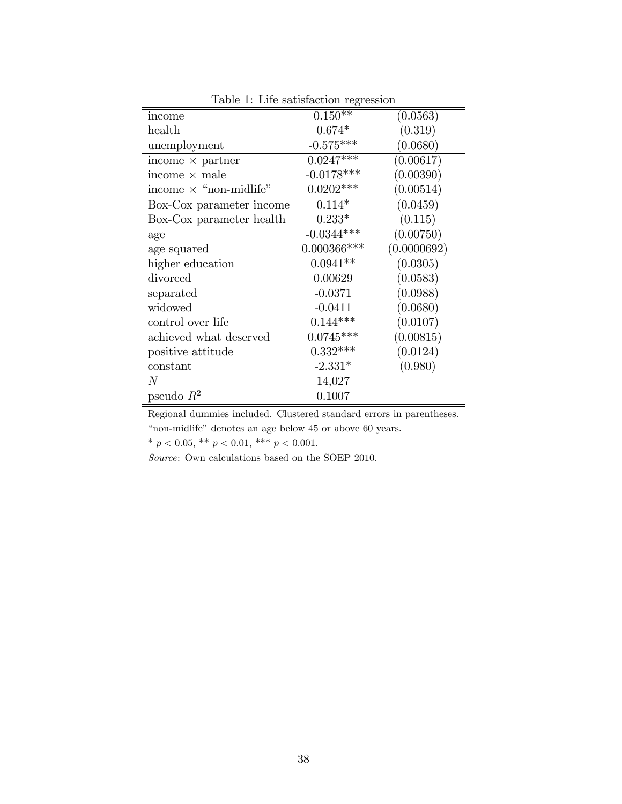| rasio 1. Ento sacisfacción regressión |             |
|---------------------------------------|-------------|
| $0.150**$                             | (0.0563)    |
| $0.674*$                              | (0.319)     |
| $-0.575***$                           | (0.0680)    |
| $0.0247***$                           | (0.00617)   |
| $-0.0178***$                          | (0.00390)   |
| $0.0202***$                           | (0.00514)   |
| $0.114*$                              | (0.0459)    |
| $0.233*$                              | (0.115)     |
| $-0.0344**$                           | (0.00750)   |
| $0.000366$ ***                        | (0.0000692) |
| $0.0941**$                            | (0.0305)    |
| 0.00629                               | (0.0583)    |
| $-0.0371$                             | (0.0988)    |
| $-0.0411$                             | (0.0680)    |
| $0.144***$                            | (0.0107)    |
| $0.0745***$                           | (0.00815)   |
| $0.332***$                            | (0.0124)    |
| $-2.331*$                             | (0.980)     |
| 14,027                                |             |
| 0.1007                                |             |
|                                       |             |

Table 1: Life satisfaction regression

Regional dummies included. Clustered standard errors in parentheses. "non-midlife" denotes an age below  $45$  or above  $60$  years.

\*  $p < 0.05,$  \*\*  $p < 0.01,$  \*\*\*  $p < 0.001$ .

Source: Own calculations based on the SOEP 2010.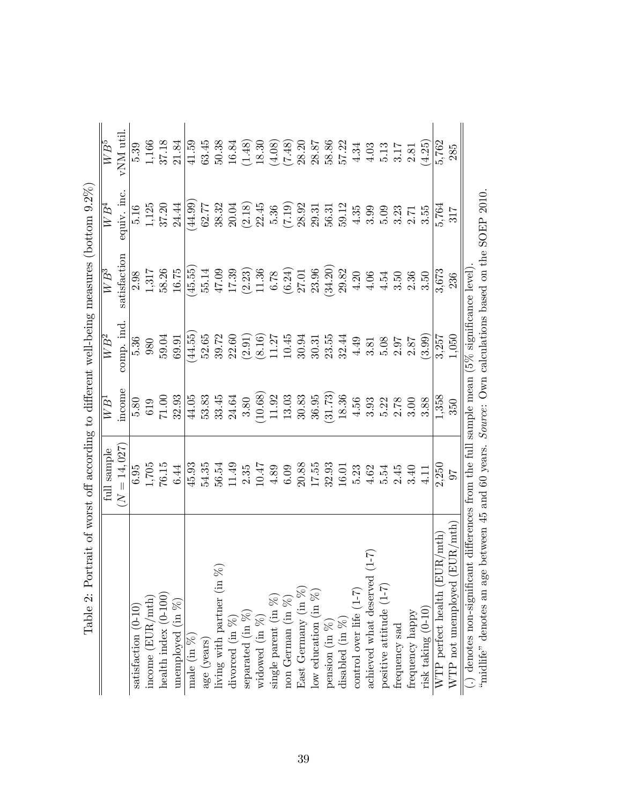| Table 2: Portrait of worst off according to different well-being measures (bottom $9.2\%$ )            |                                   |                   |                                       |                   |                   |           |
|--------------------------------------------------------------------------------------------------------|-----------------------------------|-------------------|---------------------------------------|-------------------|-------------------|-----------|
|                                                                                                        | full sample                       | $\overline{WB^1}$ | $\overline{WB^2}$                     | $\overline{W}B^3$ | $\overline{WB^4}$ | $WB^5$    |
|                                                                                                        | $= 14,027$<br>$\overline{\Sigma}$ | income            | comp. ind                             | satisfaction      | equiv. inc.       | vNM util. |
| satisfaction (0-10)                                                                                    | 6.95                              | 5.80              | 5.36                                  | 2.98              | 5.16              | 539       |
| income $(EUR/mth)$                                                                                     | 1,705                             | 619               | 980                                   | 1,317             | 1,125             | 1,166     |
|                                                                                                        | 76.15                             | 71.00             | 59.04                                 | 58.26             | 37.20             | 37.18     |
| $\begin{array}{c} \text{heatth index (0-100)} \\ \text{unemployed (in %)} \end{array}$                 | 6.44                              | 32.93             | 69.91                                 | 16.75             | 24.44             | 21.84     |
|                                                                                                        | 45.93                             | 44.05             | (44.55)                               | (45.55)           | (44.99)           | 41.59     |
| $\begin{array}{l} \text{male (in }\%) \\ \text{age (years)} \end{array}$                               | 54.35                             | 53.83             | 52.65                                 | 55.14             | 62.77             | 63.45     |
| R                                                                                                      | 56.54                             | 33.45             | 39.72                                 | 47.09             | 38.32             | 50.38     |
| living with partner (in $\%$ )<br>divorced (in $\%$ )<br>separated (in $\%$ )<br>widowed (in $\%$ )    | 11.49                             | 24.64             | 22.60                                 | 17.39             | 20.04             | 16.84     |
|                                                                                                        | 2.35                              | 3.80              | (2.91)                                | (2.23)            | (2.18)            | (1.48)    |
|                                                                                                        | 10.47                             | (10.68)           | (8.16)                                | 11.36             | 22.45             | 18.30     |
|                                                                                                        | 4.89                              | 11.92             | 11.27                                 | 6.78              | 5.36              | (4.08)    |
| single parent (in $\%$ )<br>non German (in $\%$ )                                                      | 6.09                              | 13.03             | 10.45                                 | (6.24)            | (7.19)            | (7.48)    |
|                                                                                                        | 20.88                             | 30.83             | 30.94                                 | 27.01             | 28.92             | 28.20     |
|                                                                                                        | 17.55                             | 36.95             | 30.31                                 | 23.96             | 29.31             | 28.87     |
| East Germany (in %)<br>low education (in %)<br>pension (in %)<br>disabled (in %)                       | 32.93                             | (31.73)           | 23.55                                 | (34.20)           | 56.31             | 58.86     |
|                                                                                                        | 16.01                             | 18.36             | 32.44                                 | 29.82             | 59.12             | 57.22     |
| control over life $(1-7)$                                                                              | 5.23                              | 4.56              | 4.49                                  | 4.20              | 4.35              | 4.34      |
| $(1-7)$<br>achieved what deserved                                                                      | 4.62                              | 3.93              | 3.81                                  | 4.06              | 3.99              | $4.03$    |
| positive attitude (1-7)                                                                                | 5.54                              | 5.22              | 5.08                                  | 4.54              | 5.09              | 5.13      |
| frequency sad                                                                                          | 2.45                              | 2.78              | 2.97                                  | 3.50              | 3.23              | 3.17      |
|                                                                                                        | 3.40                              | 3.00              | $2.87$                                | 2.36              | 2.71              | 2.81      |
| $\begin{array}{c} \mathrm{frequency \; happy} \\ \mathrm{risk \; taking} \; (0\text{-}10) \end{array}$ | 4.11                              | 3.88              | (3.99)                                | 3.50              | 3.55              | (4.25)    |
|                                                                                                        | 2,250                             | 1,358             | 3,257                                 | $3,673$           | 5,764             | 5,762     |
| (EUR/mth)<br>WTP perfect health $(EUR/mth)$<br>WTP not unemployed $(EUR/mth)$                          | 97                                | 350               | 1,050                                 | 236               | 317               | 285       |
| $(.)$ denotes non-significant differences from the full                                                |                                   |                   | sample mean $(5\%$ significance level |                   |                   |           |
| 'midlife" denotes an age between 45 and 60 years. Source: Own calculations based on the SOEP 2010.     |                                   |                   |                                       |                   |                   |           |

| .<br>ווי<br>ווי                                                                                                                                                                                                                      |
|--------------------------------------------------------------------------------------------------------------------------------------------------------------------------------------------------------------------------------------|
|                                                                                                                                                                                                                                      |
|                                                                                                                                                                                                                                      |
| I                                                                                                                                                                                                                                    |
|                                                                                                                                                                                                                                      |
|                                                                                                                                                                                                                                      |
| $\frac{4}{5}$                                                                                                                                                                                                                        |
|                                                                                                                                                                                                                                      |
|                                                                                                                                                                                                                                      |
| うしょう                                                                                                                                                                                                                                 |
|                                                                                                                                                                                                                                      |
|                                                                                                                                                                                                                                      |
|                                                                                                                                                                                                                                      |
|                                                                                                                                                                                                                                      |
|                                                                                                                                                                                                                                      |
|                                                                                                                                                                                                                                      |
|                                                                                                                                                                                                                                      |
|                                                                                                                                                                                                                                      |
|                                                                                                                                                                                                                                      |
| d<br>i                                                                                                                                                                                                                               |
|                                                                                                                                                                                                                                      |
| <b>CONTRACTOR CONTROLLED TO A SECRET AND RESERVED TO A SECRET AND RESERVED TO A REPORT OF A SECRET AND RESERVED TO A REPORT OF A REPORT OF A REPORT OF A REPORT OF A REPORT OF A REPORT OF A REPORT OF A REPORT OF A REPORT OF A</b> |
|                                                                                                                                                                                                                                      |
|                                                                                                                                                                                                                                      |
|                                                                                                                                                                                                                                      |
|                                                                                                                                                                                                                                      |
|                                                                                                                                                                                                                                      |
|                                                                                                                                                                                                                                      |
|                                                                                                                                                                                                                                      |
|                                                                                                                                                                                                                                      |
| ع<br>م<br>֧֧֧֧֦֧ׅ֧֧֧֦֧֦֧֦֧֦֧֦֧֦֧֛֪ׅ֧֛֪ׅ֧֛֪ׅ֧֛֪ׅ֧֛֪ׅ֧֛֪֪֛֪֛֪ׅ֧֛֪֛֪֛֪֛֪֛֪֛֚֚֚֚֡֕֓֕֕֓֕֓֕֓֝֬֝֓֜֓֝֬֝֓֓֓֓֓֓                                                                                                                                |
|                                                                                                                                                                                                                                      |
| i.                                                                                                                                                                                                                                   |
|                                                                                                                                                                                                                                      |
| ì                                                                                                                                                                                                                                    |
|                                                                                                                                                                                                                                      |
| $\frac{1}{2}$                                                                                                                                                                                                                        |
|                                                                                                                                                                                                                                      |
|                                                                                                                                                                                                                                      |
|                                                                                                                                                                                                                                      |
|                                                                                                                                                                                                                                      |
|                                                                                                                                                                                                                                      |
| .<br>.<br>.<br>.                                                                                                                                                                                                                     |
| S<br>S<br>S                                                                                                                                                                                                                          |
| Î                                                                                                                                                                                                                                    |
|                                                                                                                                                                                                                                      |
|                                                                                                                                                                                                                                      |
|                                                                                                                                                                                                                                      |
| $\frac{1}{2}$                                                                                                                                                                                                                        |
|                                                                                                                                                                                                                                      |
|                                                                                                                                                                                                                                      |
|                                                                                                                                                                                                                                      |
| りり                                                                                                                                                                                                                                   |
|                                                                                                                                                                                                                                      |
|                                                                                                                                                                                                                                      |
| <br> }<br> }                                                                                                                                                                                                                         |
|                                                                                                                                                                                                                                      |
|                                                                                                                                                                                                                                      |
| i<br>Ì                                                                                                                                                                                                                               |
| l                                                                                                                                                                                                                                    |
| $\int$                                                                                                                                                                                                                               |
|                                                                                                                                                                                                                                      |
| $\sim$ $\sim$ $\sim$ $\sim$ $\sim$ $\sim$<br>l                                                                                                                                                                                       |
| I                                                                                                                                                                                                                                    |
|                                                                                                                                                                                                                                      |
| 'lab                                                                                                                                                                                                                                 |
|                                                                                                                                                                                                                                      |
|                                                                                                                                                                                                                                      |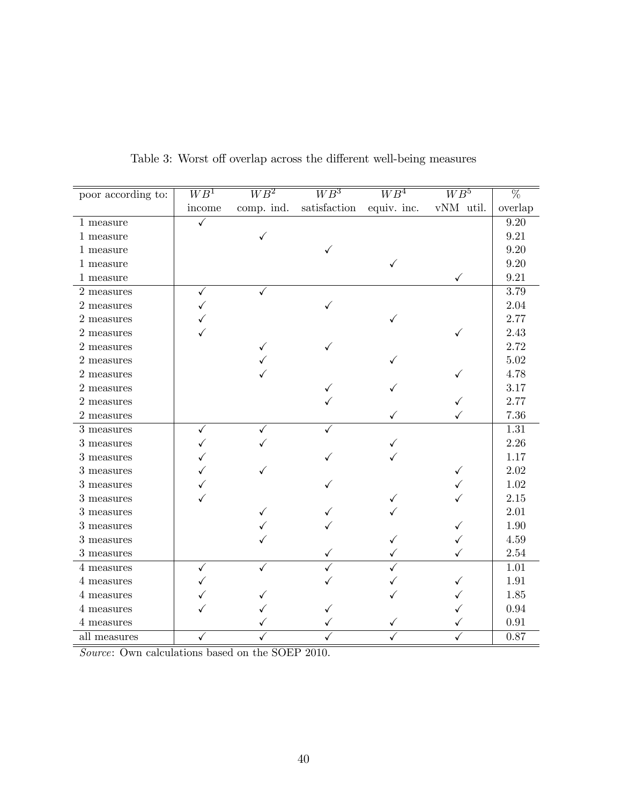| poor according to:                  | $\overline{WB^1}$ | $\overline{WB^2}$ | $\overline{WB^3}$ | $\overline{WB^4}$ | $\overline{WB^5}$ | $\overline{\%}$   |
|-------------------------------------|-------------------|-------------------|-------------------|-------------------|-------------------|-------------------|
|                                     | income            | comp. ind.        | satisfaction      | equiv. inc.       | vNM util.         | overlap           |
| 1 measure                           | $\checkmark$      |                   |                   |                   |                   | 9.20              |
| 1 measure                           |                   | $\checkmark$      |                   |                   |                   | 9.21              |
| 1 measure                           |                   |                   | ✓                 |                   |                   | 9.20              |
| 1 measure                           |                   |                   |                   |                   |                   | 9.20              |
| 1 measure                           |                   |                   |                   |                   | ✓                 | 9.21              |
| 2 measures                          | ✓                 | ✓                 |                   |                   |                   | 3.79              |
| 2 measures                          |                   |                   |                   |                   |                   | 2.04              |
| 2 measures                          |                   |                   |                   |                   |                   | 2.77              |
| 2 measures                          |                   |                   |                   |                   |                   | $2.43\,$          |
| 2 measures                          |                   | ✓                 |                   |                   |                   | 2.72              |
| 2 measures                          |                   |                   |                   |                   |                   | $5.02\,$          |
| 2 measures                          |                   |                   |                   |                   |                   | 4.78              |
| 2 measures                          |                   |                   |                   |                   |                   | 3.17              |
| $2\ensuremath{\mathrm{\:measures}}$ |                   |                   |                   |                   |                   | 2.77              |
| 2 measures                          |                   |                   |                   |                   |                   | 7.36              |
| $3\mbox{ measures}$                 | ✓                 |                   |                   |                   |                   | $\overline{1.31}$ |
| 3 measures                          |                   |                   |                   |                   |                   | 2.26              |
| 3 measures                          |                   |                   |                   |                   |                   | 1.17              |
| 3 measures                          |                   |                   |                   |                   |                   | 2.02              |
| $3$ measures                        |                   |                   |                   |                   |                   | 1.02              |
| 3 measures                          |                   |                   |                   |                   |                   | 2.15              |
| $3\mbox{ measures}$                 |                   |                   |                   |                   |                   | 2.01              |
| 3 measures                          |                   |                   |                   |                   |                   | 1.90              |
| 3 measures                          |                   |                   |                   |                   |                   | 4.59              |
| 3 measures                          |                   |                   |                   |                   |                   | 2.54              |
| 4 measures                          | ✓                 |                   |                   |                   |                   | 1.01              |
| 4 measures                          |                   |                   |                   |                   |                   | 1.91              |
| 4 measures                          |                   |                   |                   |                   |                   | 1.85              |
| 4 measures                          |                   |                   |                   |                   |                   | 0.94              |
| 4 measures                          |                   |                   |                   |                   |                   | 0.91              |
| all measures                        |                   |                   |                   |                   |                   | 0.87              |

Table 3: Worst off overlap across the different well-being measures

Source: Own calculations based on the SOEP 2010.